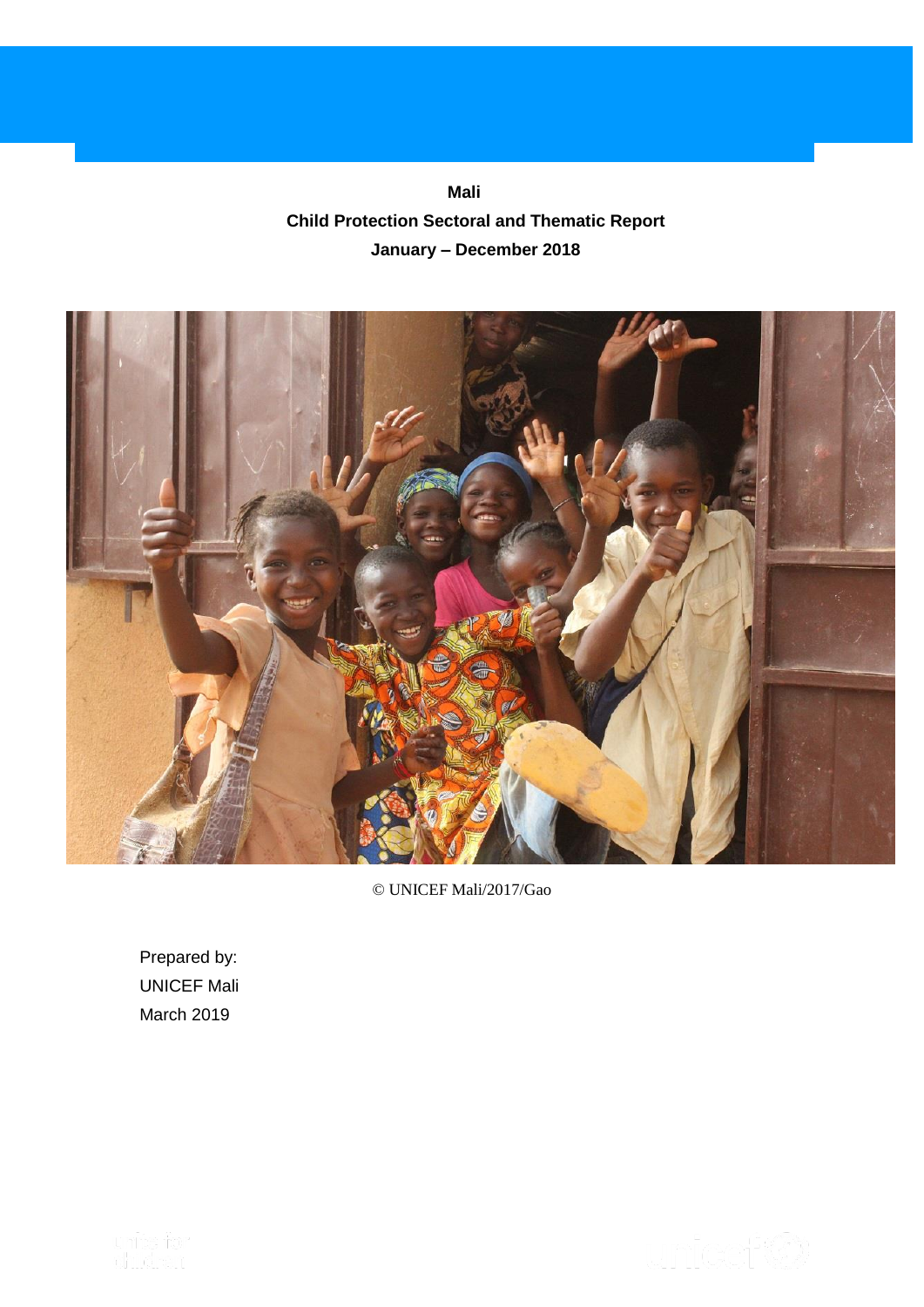**Mali Child Protection Sectoral and Thematic Report January – December 2018**



© UNICEF Mali/2017/Gao

Prepared by: UNICEF Mali March 2019

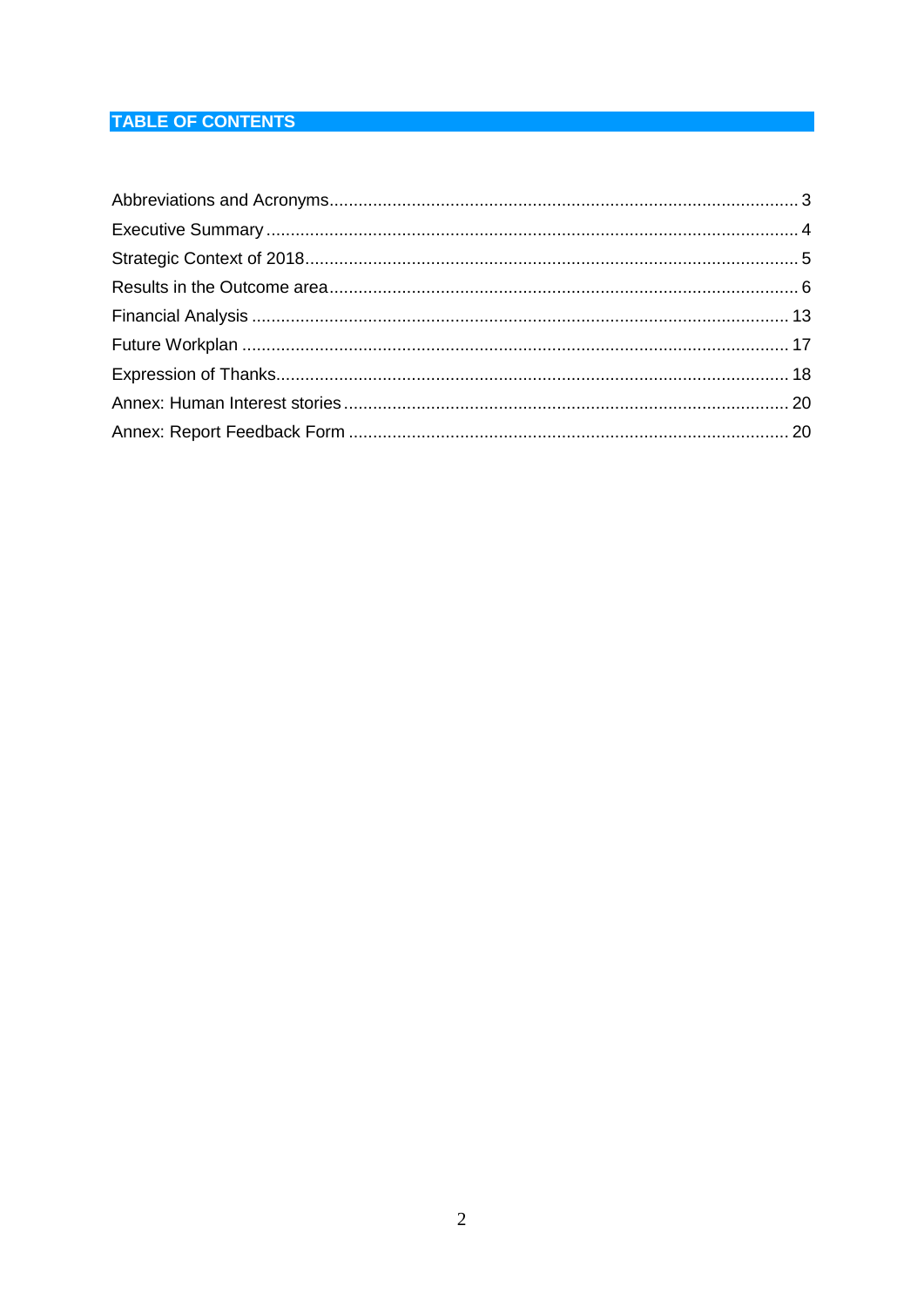# **TABLE OF CONTENTS**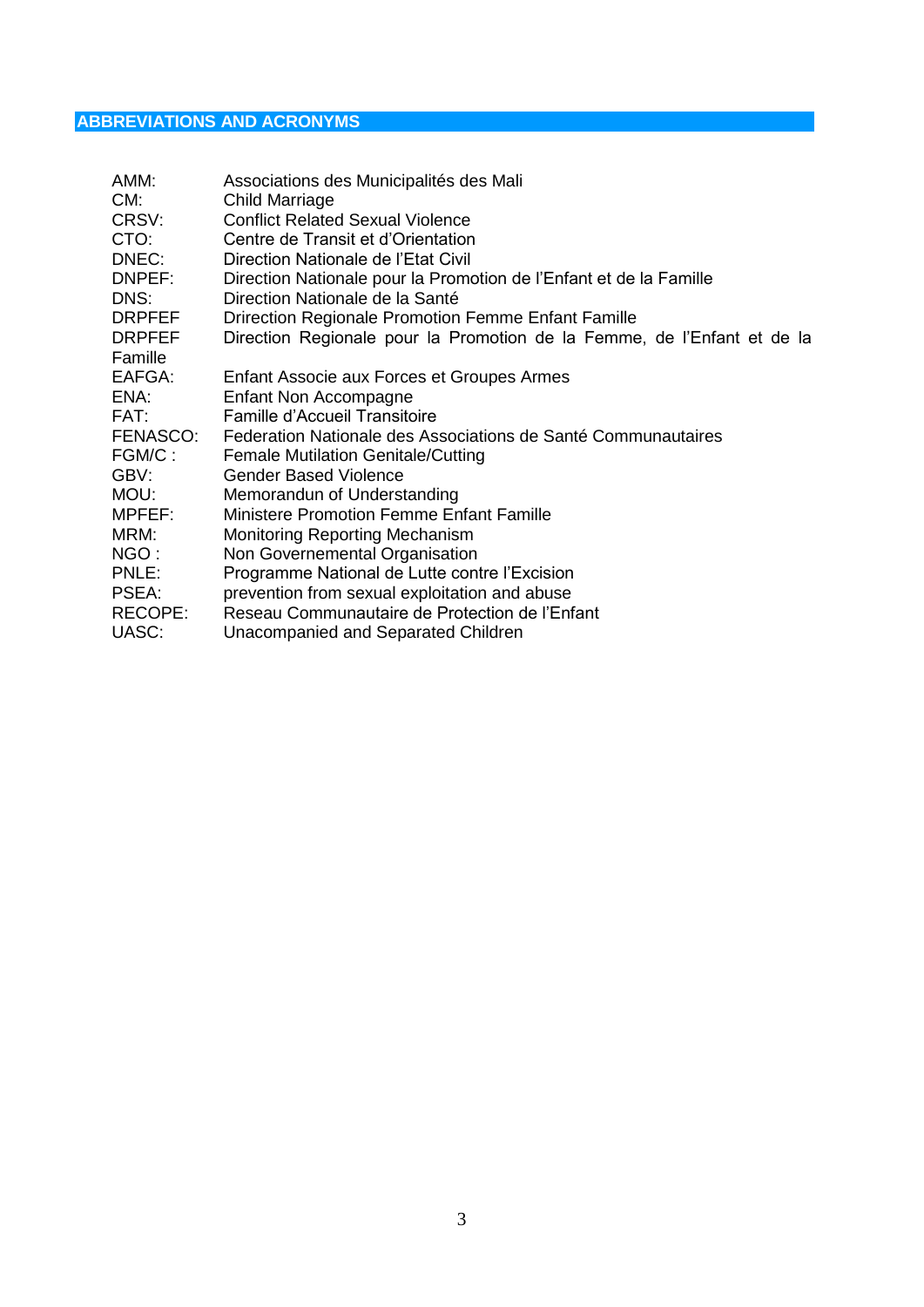# <span id="page-2-0"></span>**ABBREVIATIONS AND ACRONYMS**

| AMM:<br>CM:<br>CRSV:<br>CTO:<br>DNEC:<br>DNPEF:<br>DNS:<br>DRPFEF<br><b>DRPFEF</b><br>Famille<br>EAFGA:<br>ENA:<br>FAT:<br>FENASCO: | Associations des Municipalités des Mali<br><b>Child Marriage</b><br><b>Conflict Related Sexual Violence</b><br>Centre de Transit et d'Orientation<br>Direction Nationale de l'Etat Civil<br>Direction Nationale pour la Promotion de l'Enfant et de la Famille<br>Direction Nationale de la Santé<br>Drirection Regionale Promotion Femme Enfant Famille<br>Direction Regionale pour la Promotion de la Femme, de l'Enfant et de la<br>Enfant Associe aux Forces et Groupes Armes<br>Enfant Non Accompagne<br>Famille d'Accueil Transitoire<br>Federation Nationale des Associations de Santé Communautaires |
|-------------------------------------------------------------------------------------------------------------------------------------|--------------------------------------------------------------------------------------------------------------------------------------------------------------------------------------------------------------------------------------------------------------------------------------------------------------------------------------------------------------------------------------------------------------------------------------------------------------------------------------------------------------------------------------------------------------------------------------------------------------|
| FGM/C:                                                                                                                              | <b>Female Mutilation Genitale/Cutting</b>                                                                                                                                                                                                                                                                                                                                                                                                                                                                                                                                                                    |
| GBV:<br>Mou:                                                                                                                        | <b>Gender Based Violence</b><br>Memorandun of Understanding                                                                                                                                                                                                                                                                                                                                                                                                                                                                                                                                                  |
| MPFEF:<br>MRM:                                                                                                                      | Ministere Promotion Femme Enfant Famille<br><b>Monitoring Reporting Mechanism</b>                                                                                                                                                                                                                                                                                                                                                                                                                                                                                                                            |
| NGO :<br>PNLE:<br>PSEA:<br>RECOPE:<br>UASC:                                                                                         | Non Governemental Organisation<br>Programme National de Lutte contre l'Excision<br>prevention from sexual exploitation and abuse<br>Reseau Communautaire de Protection de l'Enfant<br>Unacompanied and Separated Children                                                                                                                                                                                                                                                                                                                                                                                    |
|                                                                                                                                     |                                                                                                                                                                                                                                                                                                                                                                                                                                                                                                                                                                                                              |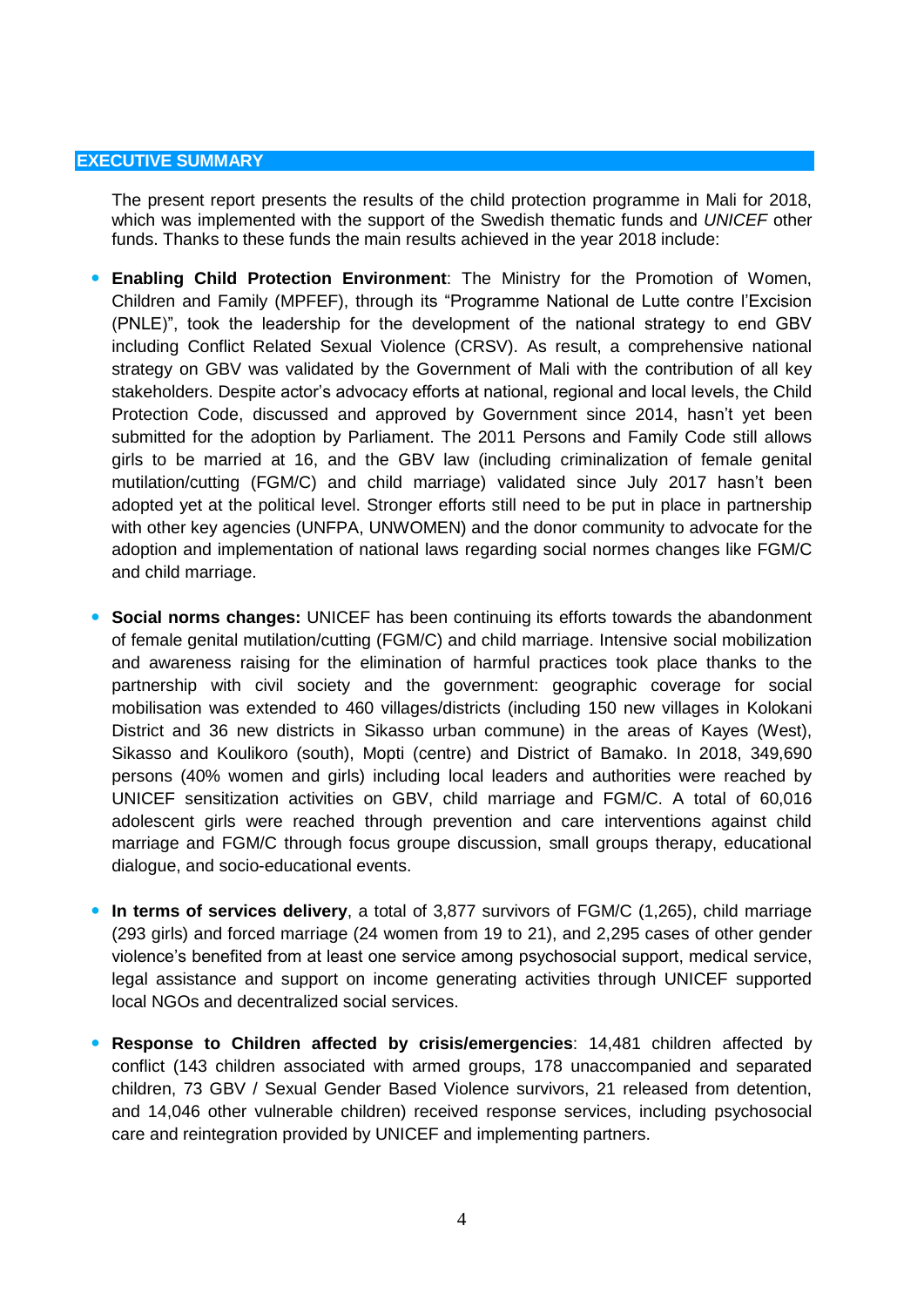#### <span id="page-3-0"></span>**EXECUTIVE SUMMARY**

The present report presents the results of the child protection programme in Mali for 2018, which was implemented with the support of the Swedish thematic funds and *UNICEF* other funds. Thanks to these funds the main results achieved in the year 2018 include:

- **Enabling Child Protection Environment**: The Ministry for the Promotion of Women, Children and Family (MPFEF), through its "Programme National de Lutte contre l'Excision (PNLE)", took the leadership for the development of the national strategy to end GBV including Conflict Related Sexual Violence (CRSV). As result, a comprehensive national strategy on GBV was validated by the Government of Mali with the contribution of all key stakeholders. Despite actor's advocacy efforts at national, regional and local levels, the Child Protection Code, discussed and approved by Government since 2014, hasn't yet been submitted for the adoption by Parliament. The 2011 Persons and Family Code still allows girls to be married at 16, and the GBV law (including criminalization of female genital mutilation/cutting (FGM/C) and child marriage) validated since July 2017 hasn't been adopted yet at the political level. Stronger efforts still need to be put in place in partnership with other key agencies (UNFPA, UNWOMEN) and the donor community to advocate for the adoption and implementation of national laws regarding social normes changes like FGM/C and child marriage.
- **Social norms changes:** UNICEF has been continuing its efforts towards the abandonment of female genital mutilation/cutting (FGM/C) and child marriage. Intensive social mobilization and awareness raising for the elimination of harmful practices took place thanks to the partnership with civil society and the government: geographic coverage for social mobilisation was extended to 460 villages/districts (including 150 new villages in Kolokani District and 36 new districts in Sikasso urban commune) in the areas of Kayes (West), Sikasso and Koulikoro (south), Mopti (centre) and District of Bamako. In 2018, 349,690 persons (40% women and girls) including local leaders and authorities were reached by UNICEF sensitization activities on GBV, child marriage and FGM/C. A total of 60,016 adolescent girls were reached through prevention and care interventions against child marriage and FGM/C through focus groupe discussion, small groups therapy, educational dialogue, and socio-educational events.
- **In terms of services delivery**, a total of 3,877 survivors of FGM/C (1,265), child marriage (293 girls) and forced marriage (24 women from 19 to 21), and 2,295 cases of other gender violence's benefited from at least one service among psychosocial support, medical service, legal assistance and support on income generating activities through UNICEF supported local NGOs and decentralized social services.
- **Response to Children affected by crisis/emergencies**: 14,481 children affected by conflict (143 children associated with armed groups, 178 unaccompanied and separated children, 73 GBV / Sexual Gender Based Violence survivors, 21 released from detention, and 14,046 other vulnerable children) received response services, including psychosocial care and reintegration provided by UNICEF and implementing partners.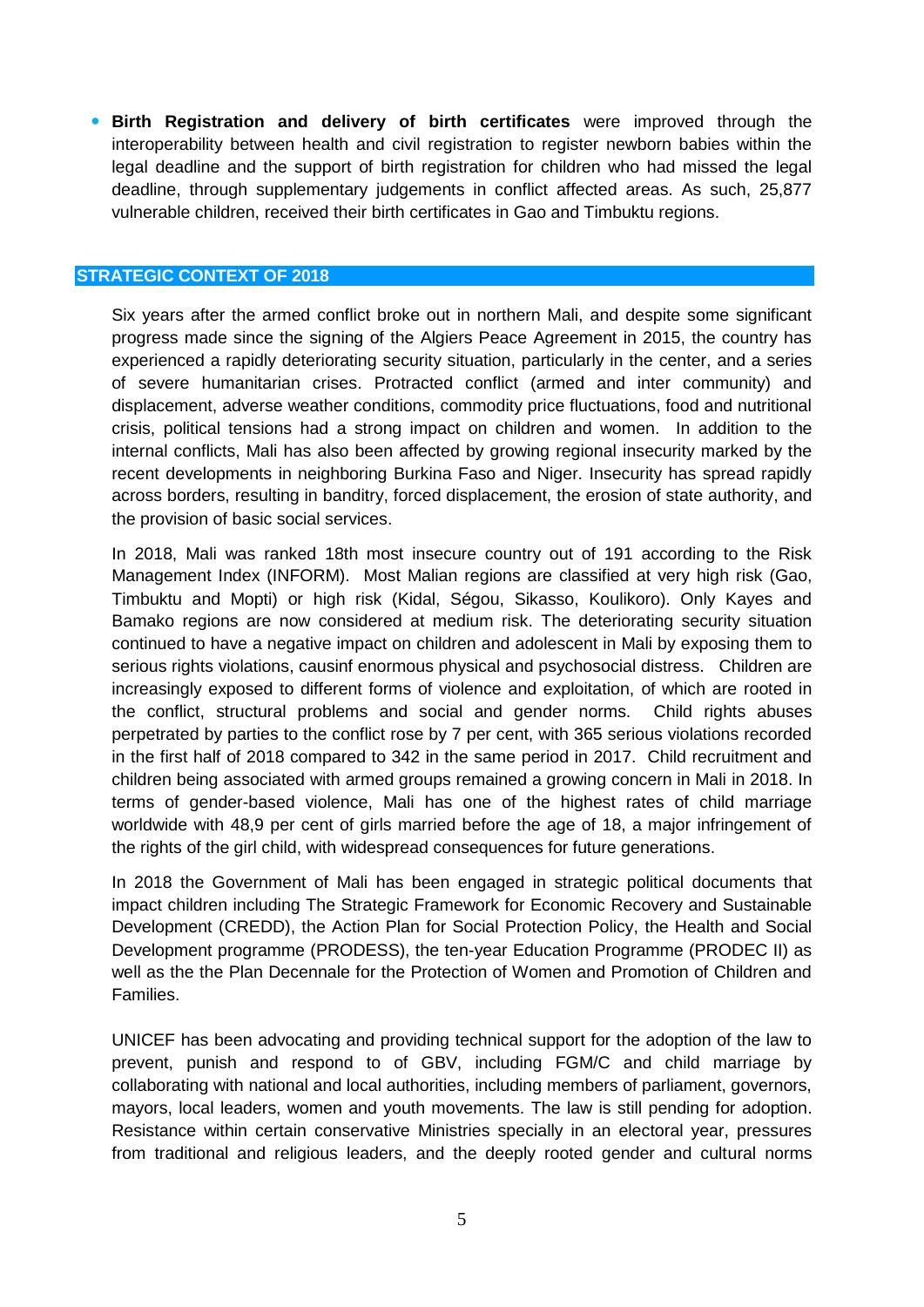**Birth Registration and delivery of birth certificates** were improved through the interoperability between health and civil registration to register newborn babies within the legal deadline and the support of birth registration for children who had missed the legal deadline, through supplementary judgements in conflict affected areas. As such, 25,877 vulnerable children, received their birth certificates in Gao and Timbuktu regions.

#### <span id="page-4-0"></span>**STRATEGIC CONTEXT OF 2018**

Six years after the armed conflict broke out in northern Mali, and despite some significant progress made since the signing of the Algiers Peace Agreement in 2015, the country has experienced a rapidly deteriorating security situation, particularly in the center, and a series of severe humanitarian crises. Protracted conflict (armed and inter community) and displacement, adverse weather conditions, commodity price fluctuations, food and nutritional crisis, political tensions had a strong impact on children and women. In addition to the internal conflicts, Mali has also been affected by growing regional insecurity marked by the recent developments in neighboring Burkina Faso and Niger. Insecurity has spread rapidly across borders, resulting in banditry, forced displacement, the erosion of state authority, and the provision of basic social services.

In 2018, Mali was ranked 18th most insecure country out of 191 according to the Risk Management Index (INFORM). Most Malian regions are classified at very high risk (Gao, Timbuktu and Mopti) or high risk (Kidal, Ségou, Sikasso, Koulikoro). Only Kayes and Bamako regions are now considered at medium risk. The deteriorating security situation continued to have a negative impact on children and adolescent in Mali by exposing them to serious rights violations, causinf enormous physical and psychosocial distress. Children are increasingly exposed to different forms of violence and exploitation, of which are rooted in the conflict, structural problems and social and gender norms. Child rights abuses perpetrated by parties to the conflict rose by 7 per cent, with 365 serious violations recorded in the first half of 2018 compared to 342 in the same period in 2017. Child recruitment and children being associated with armed groups remained a growing concern in Mali in 2018. In terms of gender-based violence, Mali has one of the highest rates of child marriage worldwide with 48,9 per cent of girls married before the age of 18, a major infringement of the rights of the girl child, with widespread consequences for future generations.

In 2018 the Government of Mali has been engaged in strategic political documents that impact children including The Strategic Framework for Economic Recovery and Sustainable Development (CREDD), the Action Plan for Social Protection Policy, the Health and Social Development programme (PRODESS), the ten-year Education Programme (PRODEC II) as well as the the Plan Decennale for the Protection of Women and Promotion of Children and Families.

UNICEF has been advocating and providing technical support for the adoption of the law to prevent, punish and respond to of GBV, including FGM/C and child marriage by collaborating with national and local authorities, including members of parliament, governors, mayors, local leaders, women and youth movements. The law is still pending for adoption. Resistance within certain conservative Ministries specially in an electoral year, pressures from traditional and religious leaders, and the deeply rooted gender and cultural norms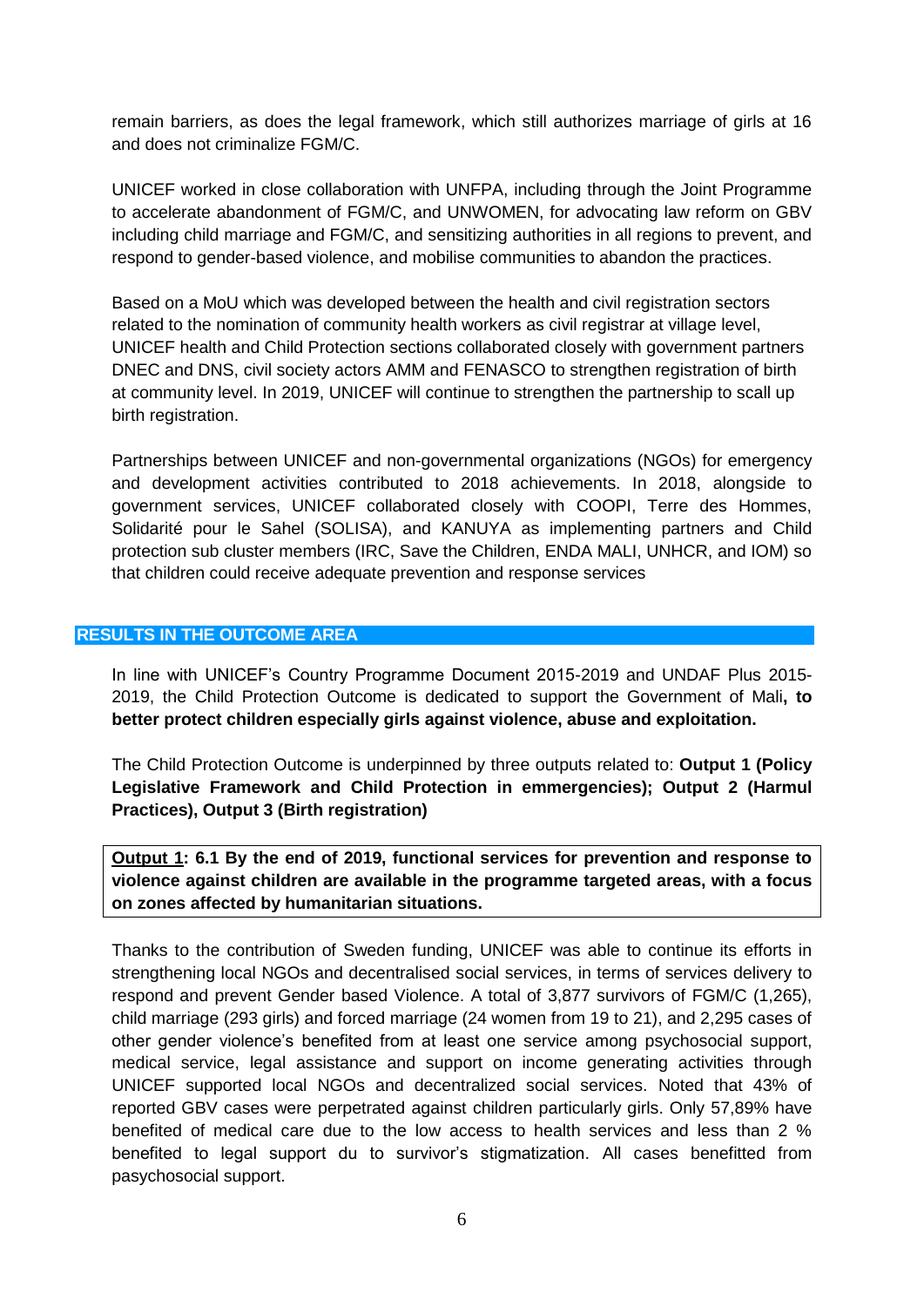remain barriers, as does the legal framework, which still authorizes marriage of girls at 16 and does not criminalize FGM/C.

UNICEF worked in close collaboration with UNFPA, including through the Joint Programme to accelerate abandonment of FGM/C, and UNWOMEN, for advocating law reform on GBV including child marriage and FGM/C, and sensitizing authorities in all regions to prevent, and respond to gender-based violence, and mobilise communities to abandon the practices.

Based on a MoU which was developed between the health and civil registration sectors related to the nomination of community health workers as civil registrar at village level, UNICEF health and Child Protection sections collaborated closely with government partners DNEC and DNS, civil society actors AMM and FENASCO to strengthen registration of birth at community level. In 2019, UNICEF will continue to strengthen the partnership to scall up birth registration.

Partnerships between UNICEF and non-governmental organizations (NGOs) for emergency and development activities contributed to 2018 achievements. In 2018, alongside to government services, UNICEF collaborated closely with COOPI, Terre des Hommes, Solidarité pour le Sahel (SOLISA), and KANUYA as implementing partners and Child protection sub cluster members (IRC, Save the Children, ENDA MALI, UNHCR, and IOM) so that children could receive adequate prevention and response services

## <span id="page-5-0"></span>**RESULTS IN THE OUTCOME AREA**

In line with UNICEF's Country Programme Document 2015-2019 and UNDAF Plus 2015- 2019, the Child Protection Outcome is dedicated to support the Government of Mali**, to better protect children especially girls against violence, abuse and exploitation.**

The Child Protection Outcome is underpinned by three outputs related to: **Output 1 (Policy Legislative Framework and Child Protection in emmergencies); Output 2 (Harmul Practices), Output 3 (Birth registration)** 

**Output 1: 6.1 By the end of 2019, functional services for prevention and response to violence against children are available in the programme targeted areas, with a focus on zones affected by humanitarian situations.**

Thanks to the contribution of Sweden funding, UNICEF was able to continue its efforts in strengthening local NGOs and decentralised social services, in terms of services delivery to respond and prevent Gender based Violence. A total of 3,877 survivors of FGM/C (1,265), child marriage (293 girls) and forced marriage (24 women from 19 to 21), and 2,295 cases of other gender violence's benefited from at least one service among psychosocial support, medical service, legal assistance and support on income generating activities through UNICEF supported local NGOs and decentralized social services. Noted that 43% of reported GBV cases were perpetrated against children particularly girls. Only 57,89% have benefited of medical care due to the low access to health services and less than 2 % benefited to legal support du to survivor's stigmatization. All cases benefitted from pasychosocial support.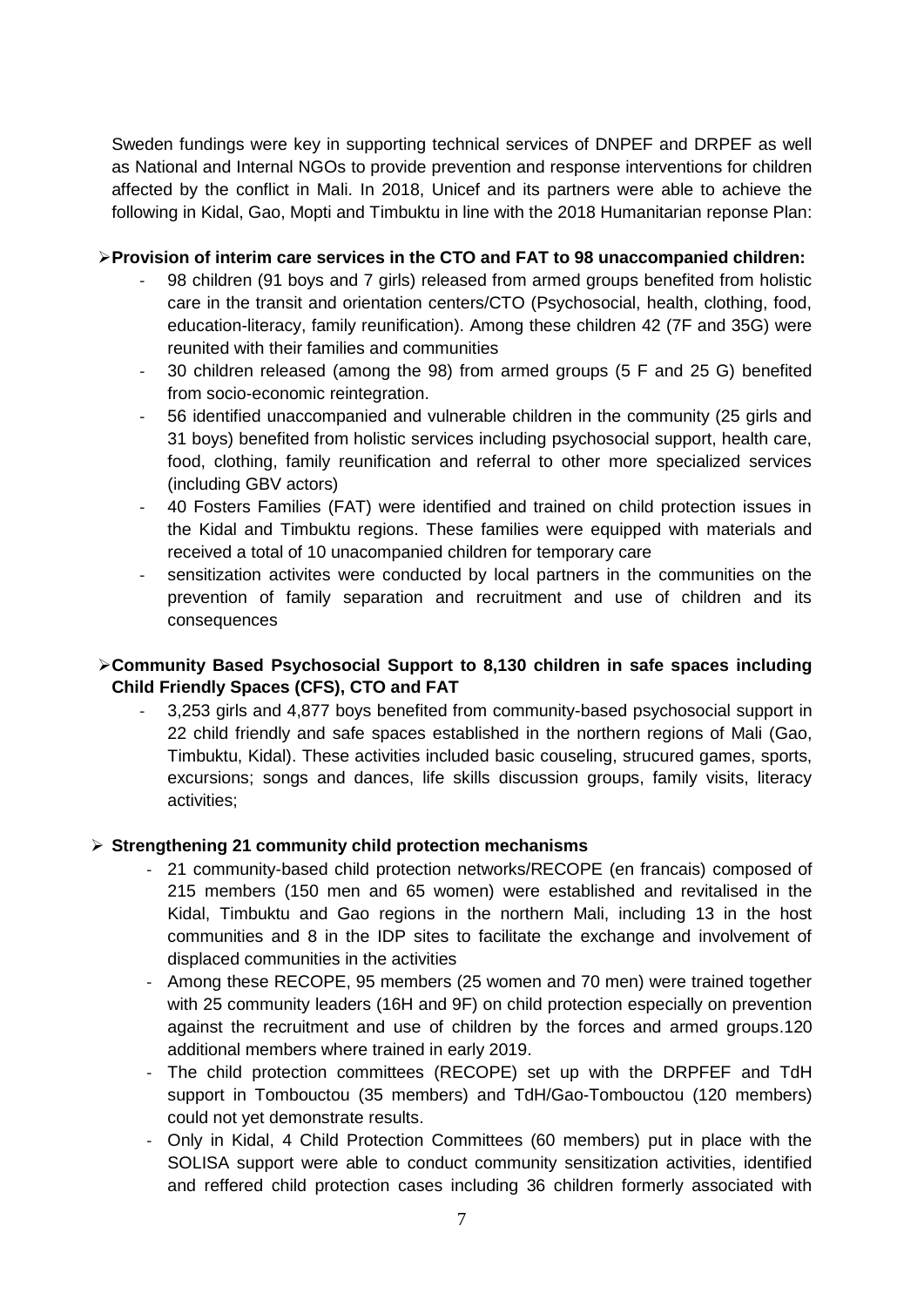Sweden fundings were key in supporting technical services of DNPEF and DRPEF as well as National and Internal NGOs to provide prevention and response interventions for children affected by the conflict in Mali. In 2018, Unicef and its partners were able to achieve the following in Kidal, Gao, Mopti and Timbuktu in line with the 2018 Humanitarian reponse Plan:

## ➢**Provision of interim care services in the CTO and FAT to 98 unaccompanied children:**

- 98 children (91 boys and 7 girls) released from armed groups benefited from holistic care in the transit and orientation centers/CTO (Psychosocial, health, clothing, food, education-literacy, family reunification). Among these children 42 (7F and 35G) were reunited with their families and communities
- 30 children released (among the 98) from armed groups (5 F and 25 G) benefited from socio-economic reintegration.
- 56 identified unaccompanied and vulnerable children in the community (25 girls and 31 boys) benefited from holistic services including psychosocial support, health care, food, clothing, family reunification and referral to other more specialized services (including GBV actors)
- 40 Fosters Families (FAT) were identified and trained on child protection issues in the Kidal and Timbuktu regions. These families were equipped with materials and received a total of 10 unacompanied children for temporary care
- sensitization activites were conducted by local partners in the communities on the prevention of family separation and recruitment and use of children and its consequences

## ➢**Community Based Psychosocial Support to 8,130 children in safe spaces including Child Friendly Spaces (CFS), CTO and FAT**

- 3,253 girls and 4,877 boys benefited from community-based psychosocial support in 22 child friendly and safe spaces established in the northern regions of Mali (Gao, Timbuktu, Kidal). These activities included basic couseling, strucured games, sports, excursions; songs and dances, life skills discussion groups, family visits, literacy activities;

## ➢ **Strengthening 21 community child protection mechanisms**

- 21 community-based child protection networks/RECOPE (en francais) composed of 215 members (150 men and 65 women) were established and revitalised in the Kidal, Timbuktu and Gao regions in the northern Mali, including 13 in the host communities and 8 in the IDP sites to facilitate the exchange and involvement of displaced communities in the activities
- Among these RECOPE, 95 members (25 women and 70 men) were trained together with 25 community leaders (16H and 9F) on child protection especially on prevention against the recruitment and use of children by the forces and armed groups.120 additional members where trained in early 2019.
- The child protection committees (RECOPE) set up with the DRPFEF and TdH support in Tombouctou (35 members) and TdH/Gao-Tombouctou (120 members) could not yet demonstrate results.
- Only in Kidal, 4 Child Protection Committees (60 members) put in place with the SOLISA support were able to conduct community sensitization activities, identified and reffered child protection cases including 36 children formerly associated with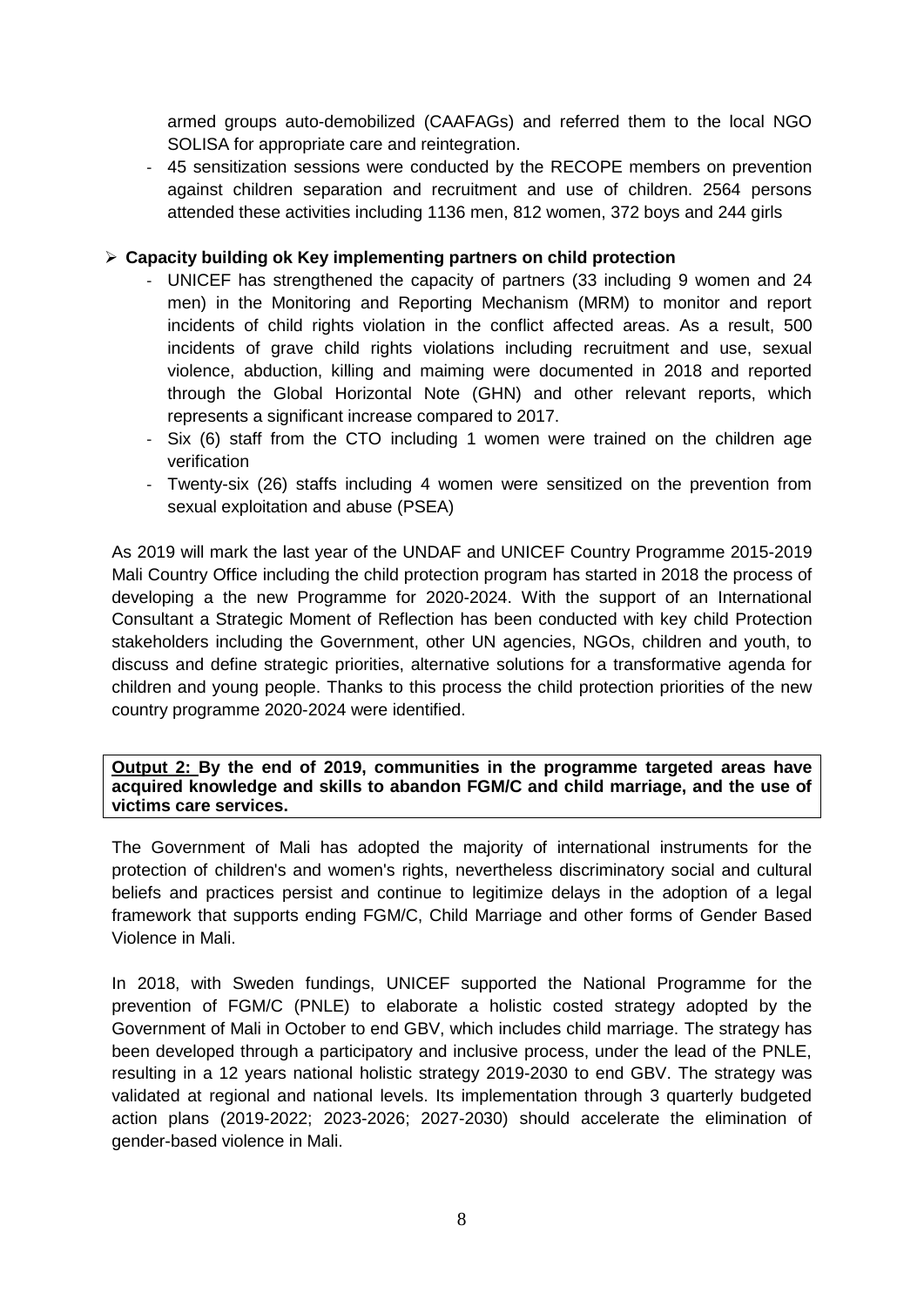armed groups auto-demobilized (CAAFAGs) and referred them to the local NGO SOLISA for appropriate care and reintegration.

- 45 sensitization sessions were conducted by the RECOPE members on prevention against children separation and recruitment and use of children. 2564 persons attended these activities including 1136 men, 812 women, 372 boys and 244 girls

## ➢ **Capacity building ok Key implementing partners on child protection**

- UNICEF has strengthened the capacity of partners (33 including 9 women and 24 men) in the Monitoring and Reporting Mechanism (MRM) to monitor and report incidents of child rights violation in the conflict affected areas. As a result, 500 incidents of grave child rights violations including recruitment and use, sexual violence, abduction, killing and maiming were documented in 2018 and reported through the Global Horizontal Note (GHN) and other relevant reports, which represents a significant increase compared to 2017.
- Six (6) staff from the CTO including 1 women were trained on the children age verification
- Twenty-six (26) staffs including 4 women were sensitized on the prevention from sexual exploitation and abuse (PSEA)

As 2019 will mark the last year of the UNDAF and UNICEF Country Programme 2015-2019 Mali Country Office including the child protection program has started in 2018 the process of developing a the new Programme for 2020-2024. With the support of an International Consultant a Strategic Moment of Reflection has been conducted with key child Protection stakeholders including the Government, other UN agencies, NGOs, children and youth, to discuss and define strategic priorities, alternative solutions for a transformative agenda for children and young people. Thanks to this process the child protection priorities of the new country programme 2020-2024 were identified.

**Output 2: By the end of 2019, communities in the programme targeted areas have acquired knowledge and skills to abandon FGM/C and child marriage, and the use of victims care services.**

The Government of Mali has adopted the majority of international instruments for the protection of children's and women's rights, nevertheless discriminatory social and cultural beliefs and practices persist and continue to legitimize delays in the adoption of a legal framework that supports ending FGM/C, Child Marriage and other forms of Gender Based Violence in Mali.

In 2018, with Sweden fundings, UNICEF supported the National Programme for the prevention of FGM/C (PNLE) to elaborate a holistic costed strategy adopted by the Government of Mali in October to end GBV, which includes child marriage. The strategy has been developed through a participatory and inclusive process, under the lead of the PNLE, resulting in a 12 years national holistic strategy 2019-2030 to end GBV. The strategy was validated at regional and national levels. Its implementation through 3 quarterly budgeted action plans (2019-2022; 2023-2026; 2027-2030) should accelerate the elimination of gender-based violence in Mali.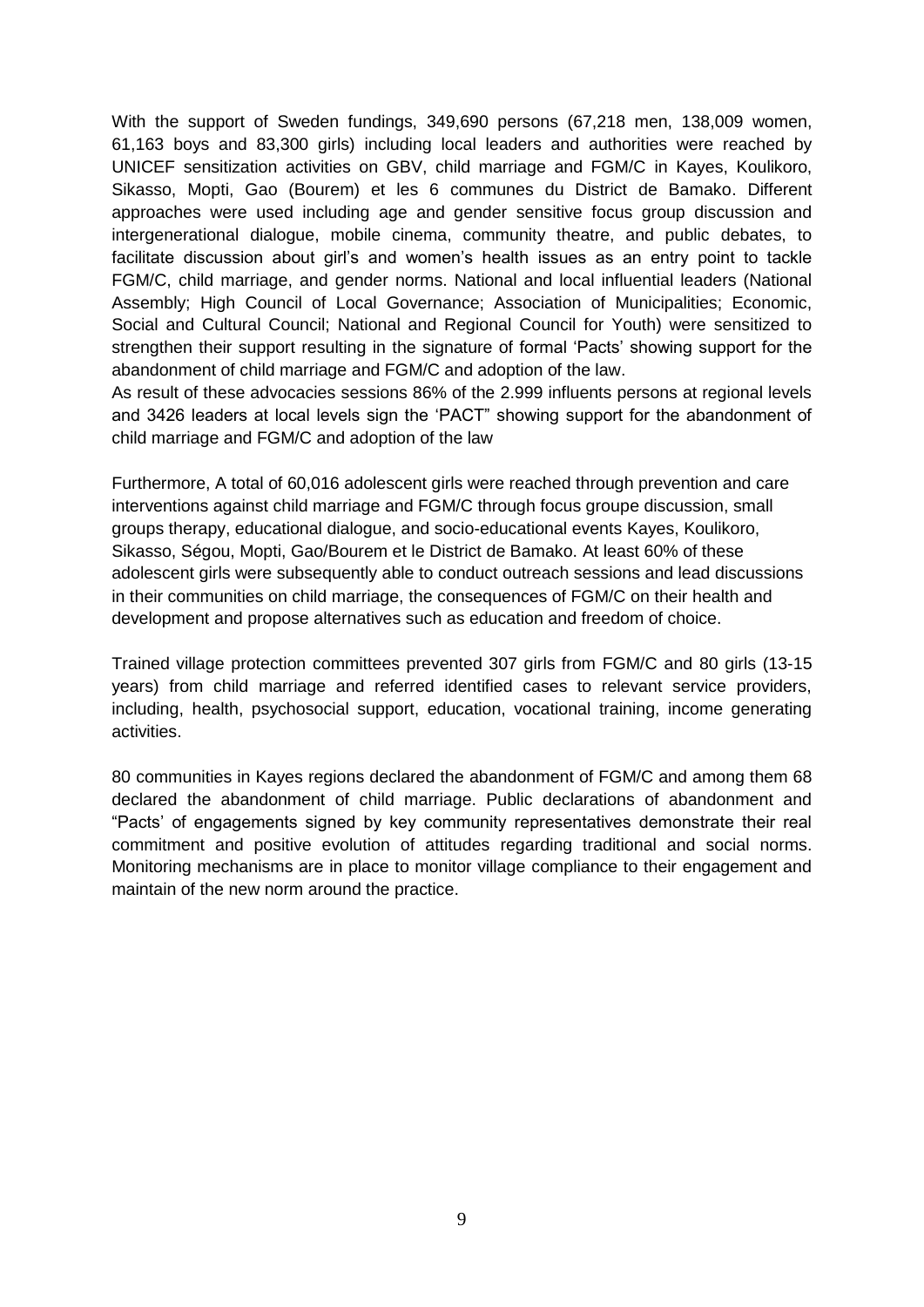With the support of Sweden fundings, 349,690 persons (67,218 men, 138,009 women, 61,163 boys and 83,300 girls) including local leaders and authorities were reached by UNICEF sensitization activities on GBV, child marriage and FGM/C in Kayes, Koulikoro, Sikasso, Mopti, Gao (Bourem) et les 6 communes du District de Bamako. Different approaches were used including age and gender sensitive focus group discussion and intergenerational dialogue, mobile cinema, community theatre, and public debates, to facilitate discussion about girl's and women's health issues as an entry point to tackle FGM/C, child marriage, and gender norms. National and local influential leaders (National Assembly; High Council of Local Governance; Association of Municipalities; Economic, Social and Cultural Council; National and Regional Council for Youth) were sensitized to strengthen their support resulting in the signature of formal 'Pacts' showing support for the abandonment of child marriage and FGM/C and adoption of the law.

As result of these advocacies sessions 86% of the 2.999 influents persons at regional levels and 3426 leaders at local levels sign the 'PACT" showing support for the abandonment of child marriage and FGM/C and adoption of the law

Furthermore, A total of 60,016 adolescent girls were reached through prevention and care interventions against child marriage and FGM/C through focus groupe discussion, small groups therapy, educational dialogue, and socio-educational events Kayes, Koulikoro, Sikasso, Ségou, Mopti, Gao/Bourem et le District de Bamako. At least 60% of these adolescent girls were subsequently able to conduct outreach sessions and lead discussions in their communities on child marriage, the consequences of FGM/C on their health and development and propose alternatives such as education and freedom of choice.

Trained village protection committees prevented 307 girls from FGM/C and 80 girls (13-15 years) from child marriage and referred identified cases to relevant service providers, including, health, psychosocial support, education, vocational training, income generating activities.

80 communities in Kayes regions declared the abandonment of FGM/C and among them 68 declared the abandonment of child marriage. Public declarations of abandonment and "Pacts' of engagements signed by key community representatives demonstrate their real commitment and positive evolution of attitudes regarding traditional and social norms. Monitoring mechanisms are in place to monitor village compliance to their engagement and maintain of the new norm around the practice.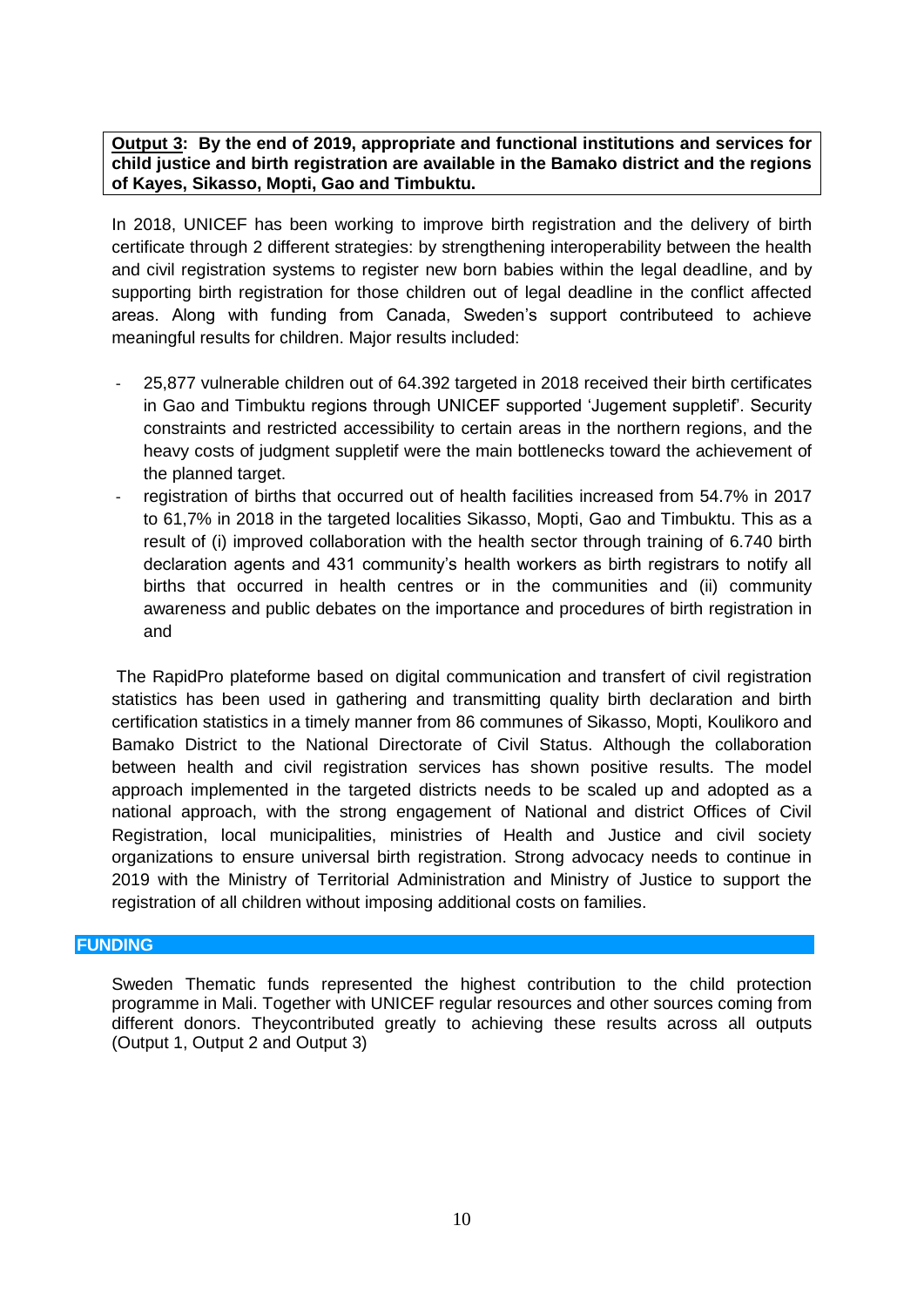**Output 3: By the end of 2019, appropriate and functional institutions and services for child justice and birth registration are available in the Bamako district and the regions of Kayes, Sikasso, Mopti, Gao and Timbuktu.**

In 2018, UNICEF has been working to improve birth registration and the delivery of birth certificate through 2 different strategies: by strengthening interoperability between the health and civil registration systems to register new born babies within the legal deadline, and by supporting birth registration for those children out of legal deadline in the conflict affected areas. Along with funding from Canada, Sweden's support contributeed to achieve meaningful results for children. Major results included:

- 25,877 vulnerable children out of 64.392 targeted in 2018 received their birth certificates in Gao and Timbuktu regions through UNICEF supported 'Jugement suppletif'. Security constraints and restricted accessibility to certain areas in the northern regions, and the heavy costs of judgment suppletif were the main bottlenecks toward the achievement of the planned target.
- registration of births that occurred out of health facilities increased from 54.7% in 2017 to 61,7% in 2018 in the targeted localities Sikasso, Mopti, Gao and Timbuktu. This as a result of (i) improved collaboration with the health sector through training of 6.740 birth declaration agents and 431 community's health workers as birth registrars to notify all births that occurred in health centres or in the communities and (ii) community awareness and public debates on the importance and procedures of birth registration in and

The RapidPro plateforme based on digital communication and transfert of civil registration statistics has been used in gathering and transmitting quality birth declaration and birth certification statistics in a timely manner from 86 communes of Sikasso, Mopti, Koulikoro and Bamako District to the National Directorate of Civil Status. Although the collaboration between health and civil registration services has shown positive results. The model approach implemented in the targeted districts needs to be scaled up and adopted as a national approach, with the strong engagement of National and district Offices of Civil Registration, local municipalities, ministries of Health and Justice and civil society organizations to ensure universal birth registration. Strong advocacy needs to continue in 2019 with the Ministry of Territorial Administration and Ministry of Justice to support the registration of all children without imposing additional costs on families.

#### **FUNDING**

Sweden Thematic funds represented the highest contribution to the child protection programme in Mali. Together with UNICEF regular resources and other sources coming from different donors. Theycontributed greatly to achieving these results across all outputs (Output 1, Output 2 and Output 3)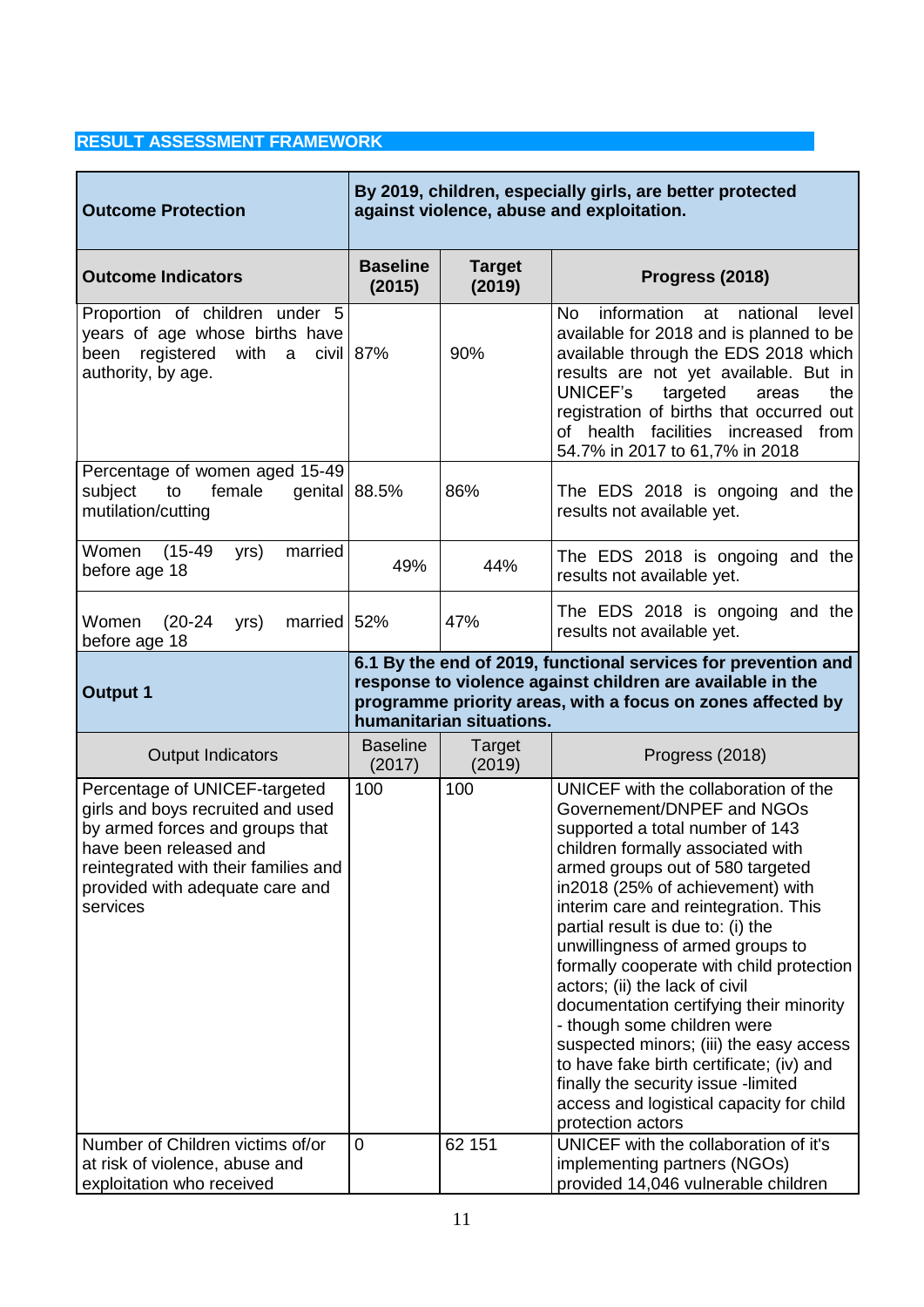## **RESULT ASSESSMENT FRAMEWORK**

| <b>Outcome Protection</b>                                                                                                                                                                                              | By 2019, children, especially girls, are better protected<br>against violence, abuse and exploitation. |                          |                                                                                                                                                                                                                                                                                                                                                                                                                                                                                                                                                                                                                                                                                            |  |  |
|------------------------------------------------------------------------------------------------------------------------------------------------------------------------------------------------------------------------|--------------------------------------------------------------------------------------------------------|--------------------------|--------------------------------------------------------------------------------------------------------------------------------------------------------------------------------------------------------------------------------------------------------------------------------------------------------------------------------------------------------------------------------------------------------------------------------------------------------------------------------------------------------------------------------------------------------------------------------------------------------------------------------------------------------------------------------------------|--|--|
| <b>Outcome Indicators</b>                                                                                                                                                                                              | <b>Baseline</b><br>(2015)                                                                              | <b>Target</b><br>(2019)  | Progress (2018)                                                                                                                                                                                                                                                                                                                                                                                                                                                                                                                                                                                                                                                                            |  |  |
| Proportion of children under 5<br>years of age whose births have<br>with a civil $87%$<br>registered<br>been<br>authority, by age.                                                                                     |                                                                                                        | 90%                      | information<br>national<br>No.<br>at<br>level<br>available for 2018 and is planned to be<br>available through the EDS 2018 which<br>results are not yet available. But in<br>UNICEF's<br>targeted<br>areas<br>the<br>registration of births that occurred out<br>of health facilities increased from<br>54.7% in 2017 to 61,7% in 2018                                                                                                                                                                                                                                                                                                                                                     |  |  |
| Percentage of women aged 15-49<br>subject<br>to<br>female<br>mutilation/cutting                                                                                                                                        | genital $ 88.5%$                                                                                       | 86%                      | The EDS 2018 is ongoing and the<br>results not available yet.                                                                                                                                                                                                                                                                                                                                                                                                                                                                                                                                                                                                                              |  |  |
| Women<br>$(15-49)$<br>married<br>yrs)<br>before age 18                                                                                                                                                                 | 49%                                                                                                    | 44%                      | The EDS 2018 is ongoing and the<br>results not available yet.                                                                                                                                                                                                                                                                                                                                                                                                                                                                                                                                                                                                                              |  |  |
| Women<br>$(20-24)$<br>married<br>yrs)<br>before age 18                                                                                                                                                                 | 52%                                                                                                    | 47%                      | The EDS 2018 is ongoing and the<br>results not available yet.                                                                                                                                                                                                                                                                                                                                                                                                                                                                                                                                                                                                                              |  |  |
| <b>Output 1</b>                                                                                                                                                                                                        |                                                                                                        | humanitarian situations. | 6.1 By the end of 2019, functional services for prevention and<br>response to violence against children are available in the<br>programme priority areas, with a focus on zones affected by                                                                                                                                                                                                                                                                                                                                                                                                                                                                                                |  |  |
| <b>Output Indicators</b>                                                                                                                                                                                               | <b>Baseline</b><br>(2017)                                                                              | Target<br>(2019)         | Progress (2018)                                                                                                                                                                                                                                                                                                                                                                                                                                                                                                                                                                                                                                                                            |  |  |
| Percentage of UNICEF-targeted<br>girls and boys recruited and used<br>by armed forces and groups that<br>have been released and<br>reintegrated with their families and<br>provided with adequate care and<br>services | 100                                                                                                    | 100                      | UNICEF with the collaboration of the<br>Governement/DNPEF and NGOs<br>supported a total number of 143<br>children formally associated with<br>armed groups out of 580 targeted<br>in2018 (25% of achievement) with<br>interim care and reintegration. This<br>partial result is due to: (i) the<br>unwillingness of armed groups to<br>formally cooperate with child protection<br>actors; (ii) the lack of civil<br>documentation certifying their minority<br>- though some children were<br>suspected minors; (iii) the easy access<br>to have fake birth certificate; (iv) and<br>finally the security issue -limited<br>access and logistical capacity for child<br>protection actors |  |  |
| Number of Children victims of/or<br>at risk of violence, abuse and<br>exploitation who received                                                                                                                        | 0                                                                                                      | 62 151                   | UNICEF with the collaboration of it's<br>implementing partners (NGOs)<br>provided 14,046 vulnerable children                                                                                                                                                                                                                                                                                                                                                                                                                                                                                                                                                                               |  |  |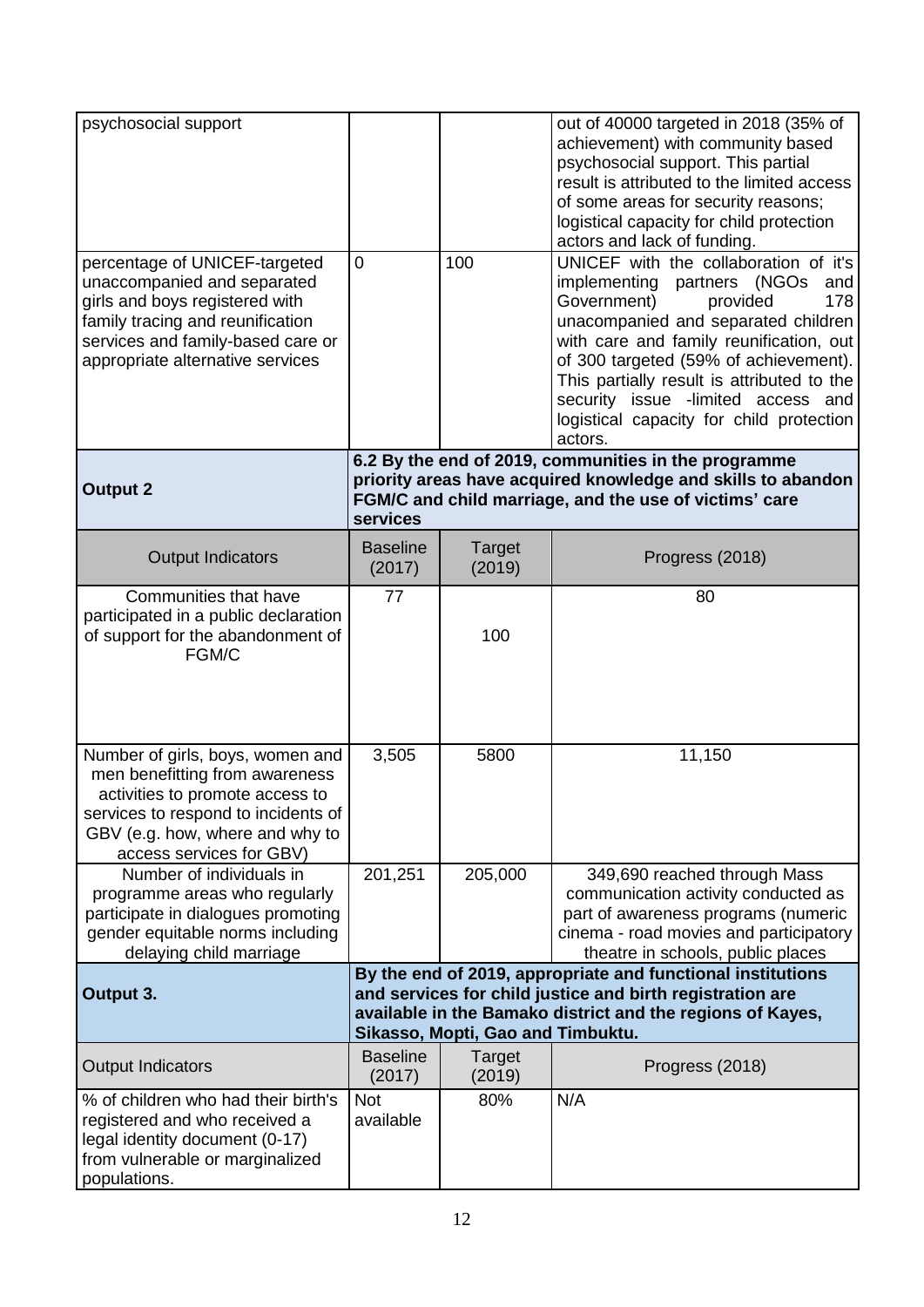| psychosocial support<br>percentage of UNICEF-targeted<br>unaccompanied and separated<br>girls and boys registered with<br>family tracing and reunification<br>services and family-based care or<br>appropriate alternative services | 0                         | 100                               | out of 40000 targeted in 2018 (35% of<br>achievement) with community based<br>psychosocial support. This partial<br>result is attributed to the limited access<br>of some areas for security reasons;<br>logistical capacity for child protection<br>actors and lack of funding.<br>UNICEF with the collaboration of it's<br>implementing partners (NGOs<br>and<br>Government)<br>provided<br>178<br>unacompanied and separated children<br>with care and family reunification, out<br>of 300 targeted (59% of achievement).<br>This partially result is attributed to the<br>security issue -limited access and<br>logistical capacity for child protection<br>actors. |
|-------------------------------------------------------------------------------------------------------------------------------------------------------------------------------------------------------------------------------------|---------------------------|-----------------------------------|-------------------------------------------------------------------------------------------------------------------------------------------------------------------------------------------------------------------------------------------------------------------------------------------------------------------------------------------------------------------------------------------------------------------------------------------------------------------------------------------------------------------------------------------------------------------------------------------------------------------------------------------------------------------------|
| <b>Output 2</b>                                                                                                                                                                                                                     | services                  |                                   | 6.2 By the end of 2019, communities in the programme<br>priority areas have acquired knowledge and skills to abandon<br>FGM/C and child marriage, and the use of victims' care                                                                                                                                                                                                                                                                                                                                                                                                                                                                                          |
| <b>Output Indicators</b>                                                                                                                                                                                                            | <b>Baseline</b><br>(2017) | <b>Target</b><br>(2019)           | Progress (2018)                                                                                                                                                                                                                                                                                                                                                                                                                                                                                                                                                                                                                                                         |
| Communities that have<br>participated in a public declaration<br>of support for the abandonment of<br>FGM/C                                                                                                                         | 77                        | 100                               | 80                                                                                                                                                                                                                                                                                                                                                                                                                                                                                                                                                                                                                                                                      |
| Number of girls, boys, women and<br>men benefitting from awareness<br>activities to promote access to<br>services to respond to incidents of<br>GBV (e.g. how, where and why to<br>access services for GBV)                         | 3,505                     | 5800                              | 11,150                                                                                                                                                                                                                                                                                                                                                                                                                                                                                                                                                                                                                                                                  |
| Number of individuals in<br>programme areas who regularly<br>participate in dialogues promoting<br>gender equitable norms including<br>delaying child marriage                                                                      | 201,251                   | 205,000                           | 349,690 reached through Mass<br>communication activity conducted as<br>part of awareness programs (numeric<br>cinema - road movies and participatory<br>theatre in schools, public places                                                                                                                                                                                                                                                                                                                                                                                                                                                                               |
| Output 3.                                                                                                                                                                                                                           |                           | Sikasso, Mopti, Gao and Timbuktu. | By the end of 2019, appropriate and functional institutions<br>and services for child justice and birth registration are<br>available in the Bamako district and the regions of Kayes,                                                                                                                                                                                                                                                                                                                                                                                                                                                                                  |
| <b>Output Indicators</b>                                                                                                                                                                                                            | <b>Baseline</b><br>(2017) | Target<br>(2019)                  | Progress (2018)                                                                                                                                                                                                                                                                                                                                                                                                                                                                                                                                                                                                                                                         |
| % of children who had their birth's<br>registered and who received a<br>legal identity document (0-17)<br>from vulnerable or marginalized<br>populations.                                                                           | <b>Not</b><br>available   | 80%                               | N/A                                                                                                                                                                                                                                                                                                                                                                                                                                                                                                                                                                                                                                                                     |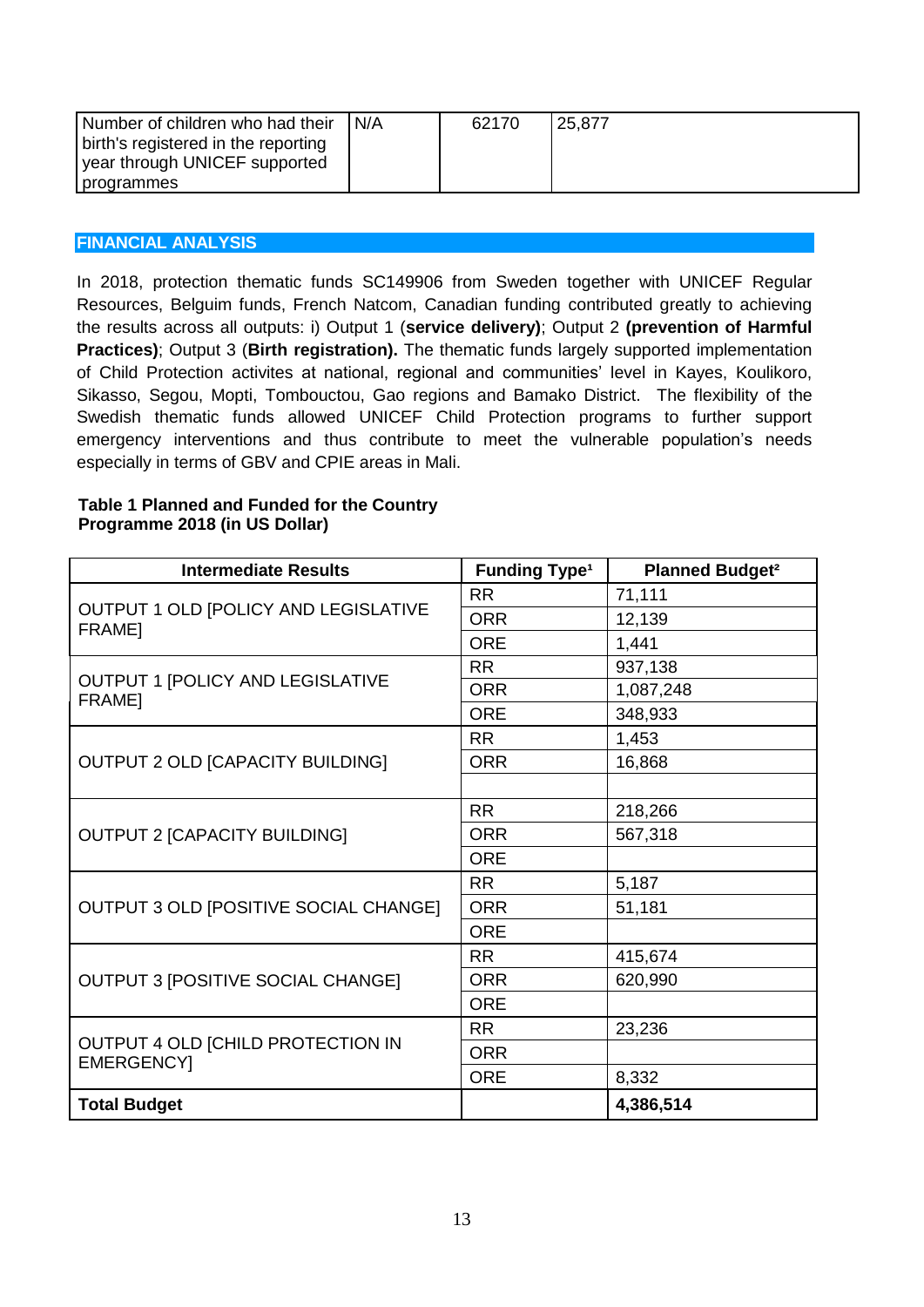| Number of children who had their    | N/A | 62170 | 25,877 |
|-------------------------------------|-----|-------|--------|
| birth's registered in the reporting |     |       |        |
| year through UNICEF supported       |     |       |        |
| programmes                          |     |       |        |

### <span id="page-12-0"></span>**FINANCIAL ANALYSIS**

In 2018, protection thematic funds SC149906 from Sweden together with UNICEF Regular Resources, Belguim funds, French Natcom, Canadian funding contributed greatly to achieving the results across all outputs: i) Output 1 (**service delivery)**; Output 2 **(prevention of Harmful Practices)**; Output 3 (**Birth registration).** The thematic funds largely supported implementation of Child Protection activites at national, regional and communities' level in Kayes, Koulikoro, Sikasso, Segou, Mopti, Tombouctou, Gao regions and Bamako District. The flexibility of the Swedish thematic funds allowed UNICEF Child Protection programs to further support emergency interventions and thus contribute to meet the vulnerable population's needs especially in terms of GBV and CPIE areas in Mali.

## **Table 1 Planned and Funded for the Country Programme 2018 (in US Dollar)**

| <b>Intermediate Results</b>                            | <b>Funding Type<sup>1</sup></b> | <b>Planned Budget<sup>2</sup></b> |
|--------------------------------------------------------|---------------------------------|-----------------------------------|
|                                                        | <b>RR</b>                       | 71,111                            |
| OUTPUT 1 OLD [POLICY AND LEGISLATIVE<br><b>FRAME1</b>  | <b>ORR</b>                      | 12,139                            |
|                                                        | <b>ORE</b>                      | 1,441                             |
|                                                        | <b>RR</b>                       | 937,138                           |
| OUTPUT 1 [POLICY AND LEGISLATIVE<br><b>FRAME1</b>      | <b>ORR</b>                      | 1,087,248                         |
|                                                        | <b>ORE</b>                      | 348,933                           |
|                                                        | <b>RR</b>                       | 1,453                             |
| OUTPUT 2 OLD [CAPACITY BUILDING]                       | <b>ORR</b>                      | 16,868                            |
|                                                        |                                 |                                   |
|                                                        | <b>RR</b>                       | 218,266                           |
| <b>OUTPUT 2 [CAPACITY BUILDING]</b>                    | <b>ORR</b>                      | 567,318                           |
|                                                        | <b>ORE</b>                      |                                   |
|                                                        | <b>RR</b>                       | 5,187                             |
| OUTPUT 3 OLD [POSITIVE SOCIAL CHANGE]                  | <b>ORR</b>                      | 51,181                            |
|                                                        | <b>ORE</b>                      |                                   |
|                                                        | <b>RR</b>                       | 415,674                           |
| <b>OUTPUT 3 [POSITIVE SOCIAL CHANGE]</b>               | <b>ORR</b>                      | 620,990                           |
|                                                        | <b>ORE</b>                      |                                   |
|                                                        | <b>RR</b>                       | 23,236                            |
| OUTPUT 4 OLD [CHILD PROTECTION IN<br><b>EMERGENCY]</b> | <b>ORR</b>                      |                                   |
|                                                        | <b>ORE</b>                      | 8,332                             |
| <b>Total Budget</b>                                    |                                 | 4,386,514                         |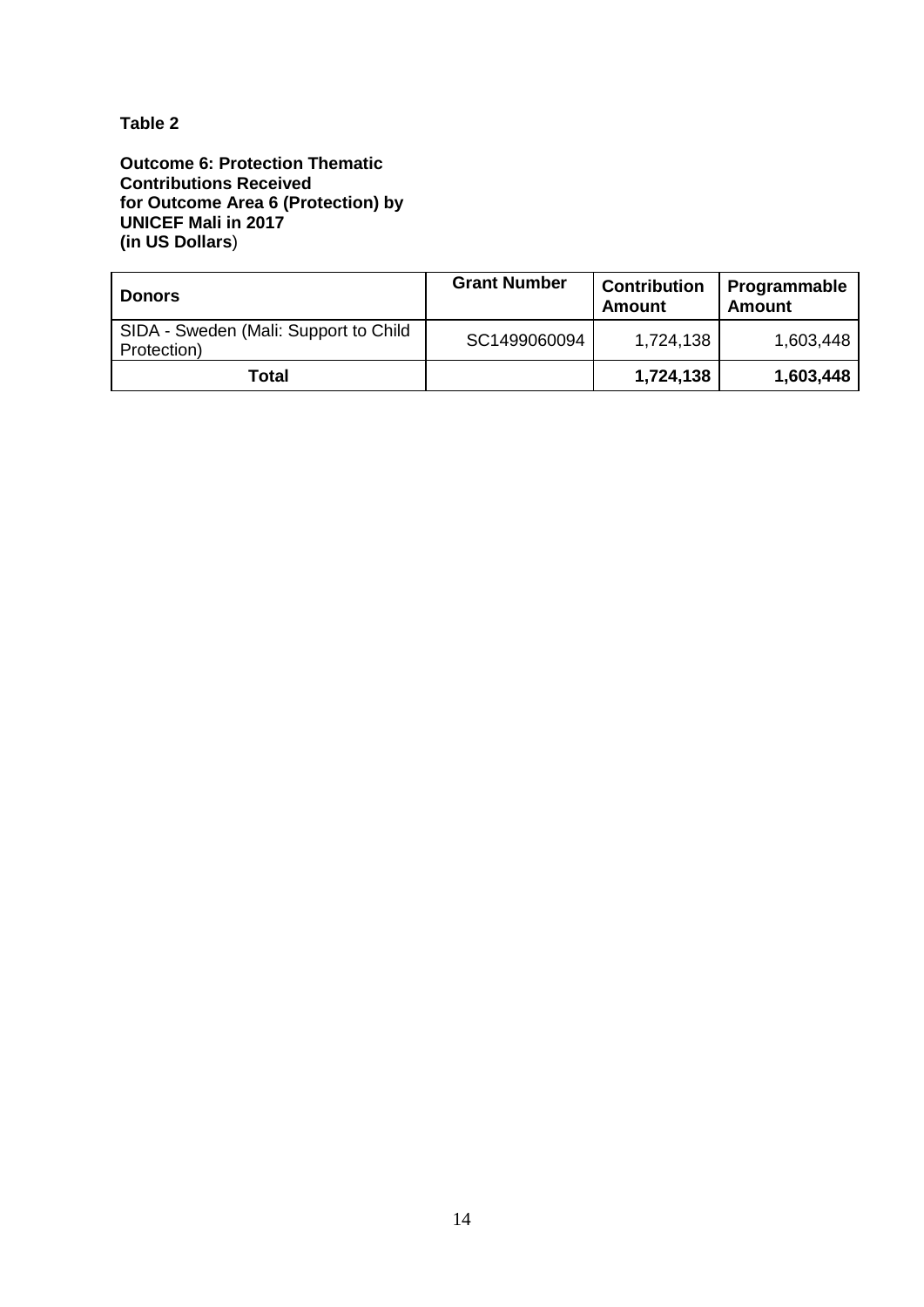## **Table 2**

**Outcome 6: Protection Thematic Contributions Received for Outcome Area 6 (Protection) by UNICEF Mali in 2017 (in US Dollars**)

| l Donors                                             | <b>Grant Number</b> | <b>Contribution</b><br><b>Amount</b> | Programmable<br><b>Amount</b> |
|------------------------------------------------------|---------------------|--------------------------------------|-------------------------------|
| SIDA - Sweden (Mali: Support to Child<br>Protection) | SC1499060094        | 1,724,138                            | 1,603,448                     |
| Total                                                |                     | 1,724,138                            | 1,603,448                     |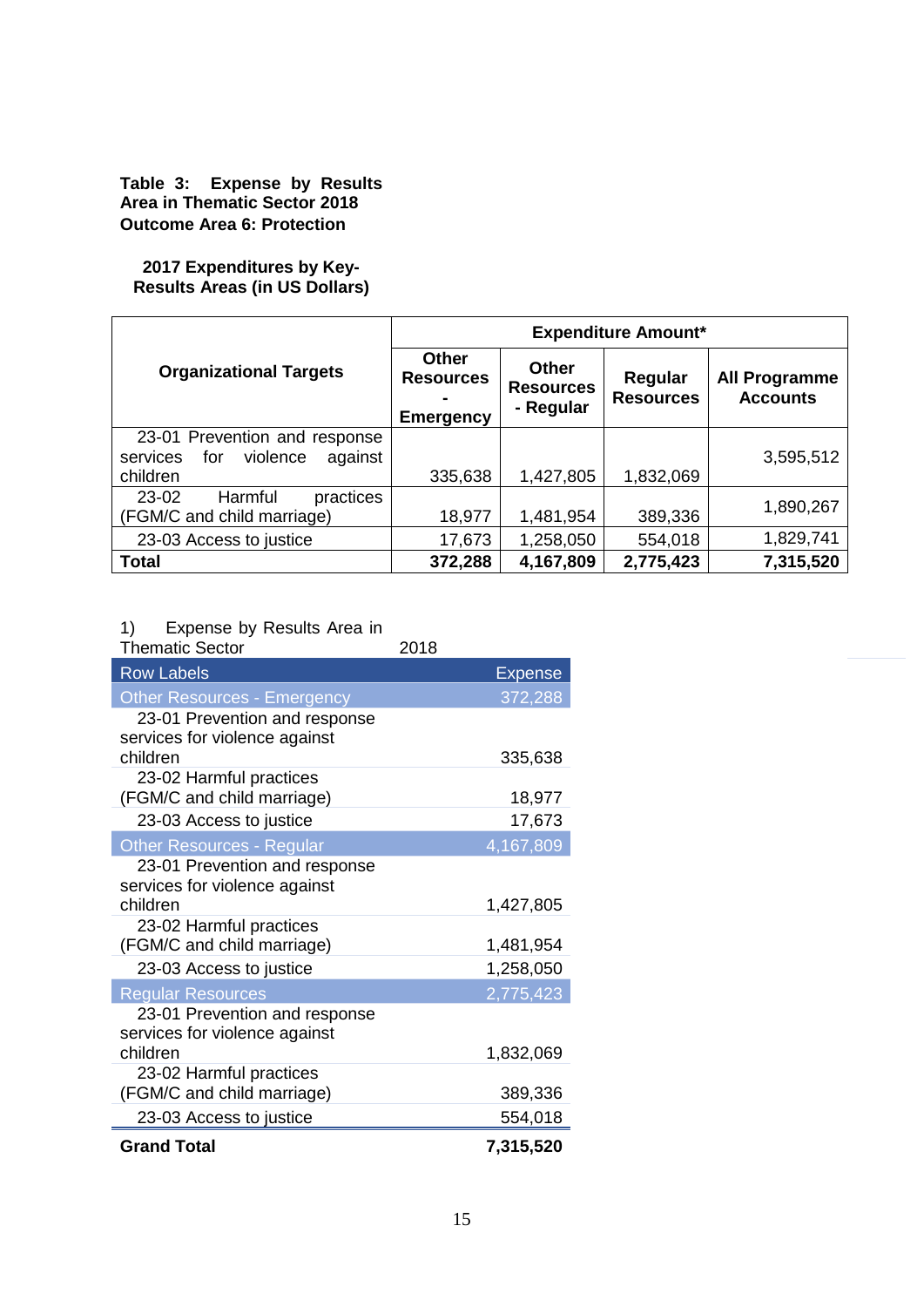### **Table 3: Expense by Results Area in Thematic Sector 2018 Outcome Area 6: Protection**

### **2017 Expenditures by Key-Results Areas (in US Dollars)**

|                                                                                     | <b>Expenditure Amount*</b>                           |                                               |                             |                                         |
|-------------------------------------------------------------------------------------|------------------------------------------------------|-----------------------------------------------|-----------------------------|-----------------------------------------|
| <b>Organizational Targets</b>                                                       | <b>Other</b><br><b>Resources</b><br><b>Emergency</b> | <b>Other</b><br><b>Resources</b><br>- Regular | Regular<br><b>Resources</b> | <b>All Programme</b><br><b>Accounts</b> |
| 23-01 Prevention and response<br>violence<br>for<br>against<br>services<br>children | 335,638                                              | 1,427,805                                     | 1,832,069                   | 3,595,512                               |
| 23-02<br>Harmful<br>practices<br>(FGM/C and child marriage)                         | 18,977                                               | 1,481,954                                     | 389,336                     | 1,890,267                               |
| 23-03 Access to justice                                                             | 17,673                                               | 1,258,050                                     | 554,018                     | 1,829,741                               |
| <b>Total</b>                                                                        | 372,288                                              | 4,167,809                                     | 2,775,423                   | 7,315,520                               |

# 1) Expense by Results Area in

| <b>Thematic Sector</b>             | 2018 |                |
|------------------------------------|------|----------------|
| <b>Row Labels</b>                  |      | <b>Expense</b> |
| <b>Other Resources - Emergency</b> |      | 372,288        |
| 23-01 Prevention and response      |      |                |
| services for violence against      |      |                |
| children                           |      | 335,638        |
| 23-02 Harmful practices            |      |                |
| (FGM/C and child marriage)         |      | 18,977         |
| 23-03 Access to justice            |      | 17,673         |
| <b>Other Resources - Regular</b>   |      | 4,167,809      |
| 23-01 Prevention and response      |      |                |
| services for violence against      |      |                |
| children                           |      | 1,427,805      |
| 23-02 Harmful practices            |      |                |
| (FGM/C and child marriage)         |      | 1,481,954      |
| 23-03 Access to justice            |      | 1,258,050      |
| <b>Regular Resources</b>           |      | 2,775,423      |
| 23-01 Prevention and response      |      |                |
| services for violence against      |      |                |
| children                           |      | 1,832,069      |
| 23-02 Harmful practices            |      |                |
| (FGM/C and child marriage)         |      | 389,336        |
| 23-03 Access to justice            |      | 554,018        |
| <b>Grand Total</b>                 |      | 7,315,520      |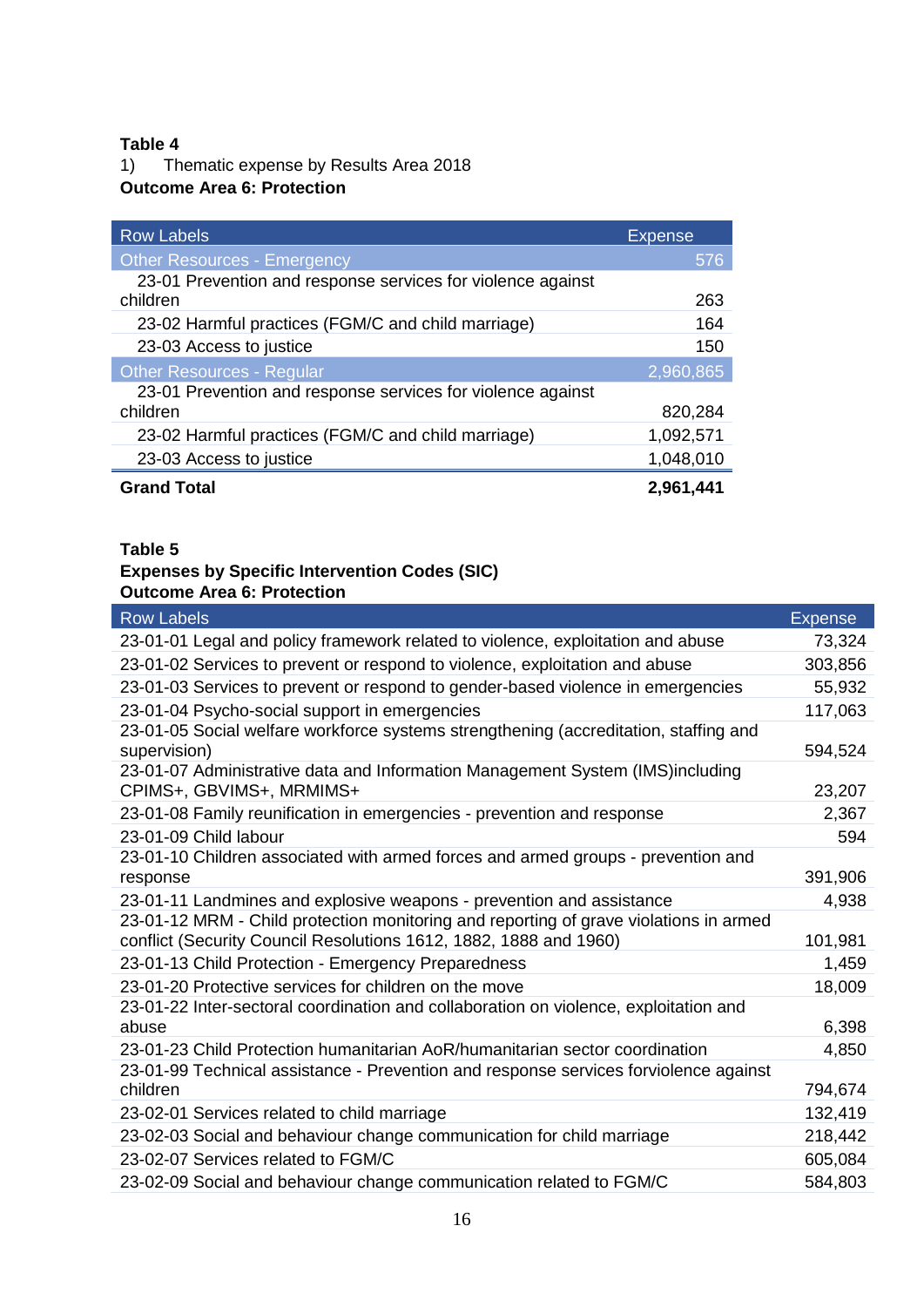# **Table 4**<br>**1)** Th

1) Thematic expense by Results Area 2018

## **Outcome Area 6: Protection**

| <b>Row Labels</b>                                                       | <b>Expense</b> |
|-------------------------------------------------------------------------|----------------|
| <b>Other Resources - Emergency</b>                                      | 576            |
| 23-01 Prevention and response services for violence against<br>children | 263            |
| 23-02 Harmful practices (FGM/C and child marriage)                      | 164            |
| 23-03 Access to justice                                                 | 150            |
| <b>Other Resources - Regular</b>                                        | 2,960,865      |
| 23-01 Prevention and response services for violence against             |                |
| children                                                                | 820,284        |
| 23-02 Harmful practices (FGM/C and child marriage)                      | 1,092,571      |
| 23-03 Access to justice                                                 | 1,048,010      |
| <b>Grand Total</b>                                                      | 2,961,441      |

## **Table 5**

## **Expenses by Specific Intervention Codes (SIC) Outcome Area 6: Protection**

| <b>Row Labels</b>                                                                                                                                          | <b>Expense</b> |
|------------------------------------------------------------------------------------------------------------------------------------------------------------|----------------|
| 23-01-01 Legal and policy framework related to violence, exploitation and abuse                                                                            | 73,324         |
| 23-01-02 Services to prevent or respond to violence, exploitation and abuse                                                                                | 303,856        |
| 23-01-03 Services to prevent or respond to gender-based violence in emergencies                                                                            | 55,932         |
| 23-01-04 Psycho-social support in emergencies                                                                                                              | 117,063        |
| 23-01-05 Social welfare workforce systems strengthening (accreditation, staffing and<br>supervision)                                                       | 594,524        |
| 23-01-07 Administrative data and Information Management System (IMS)including<br>CPIMS+, GBVIMS+, MRMIMS+                                                  | 23,207         |
| 23-01-08 Family reunification in emergencies - prevention and response                                                                                     | 2,367          |
| 23-01-09 Child labour                                                                                                                                      | 594            |
| 23-01-10 Children associated with armed forces and armed groups - prevention and                                                                           |                |
| response                                                                                                                                                   | 391,906        |
| 23-01-11 Landmines and explosive weapons - prevention and assistance                                                                                       | 4,938          |
| 23-01-12 MRM - Child protection monitoring and reporting of grave violations in armed<br>conflict (Security Council Resolutions 1612, 1882, 1888 and 1960) | 101,981        |
| 23-01-13 Child Protection - Emergency Preparedness                                                                                                         | 1,459          |
| 23-01-20 Protective services for children on the move                                                                                                      | 18,009         |
| 23-01-22 Inter-sectoral coordination and collaboration on violence, exploitation and<br>abuse                                                              | 6,398          |
| 23-01-23 Child Protection humanitarian AoR/humanitarian sector coordination                                                                                | 4,850          |
| 23-01-99 Technical assistance - Prevention and response services forviolence against<br>children                                                           | 794,674        |
| 23-02-01 Services related to child marriage                                                                                                                | 132,419        |
| 23-02-03 Social and behaviour change communication for child marriage                                                                                      | 218,442        |
| 23-02-07 Services related to FGM/C                                                                                                                         | 605,084        |
| 23-02-09 Social and behaviour change communication related to FGM/C                                                                                        | 584,803        |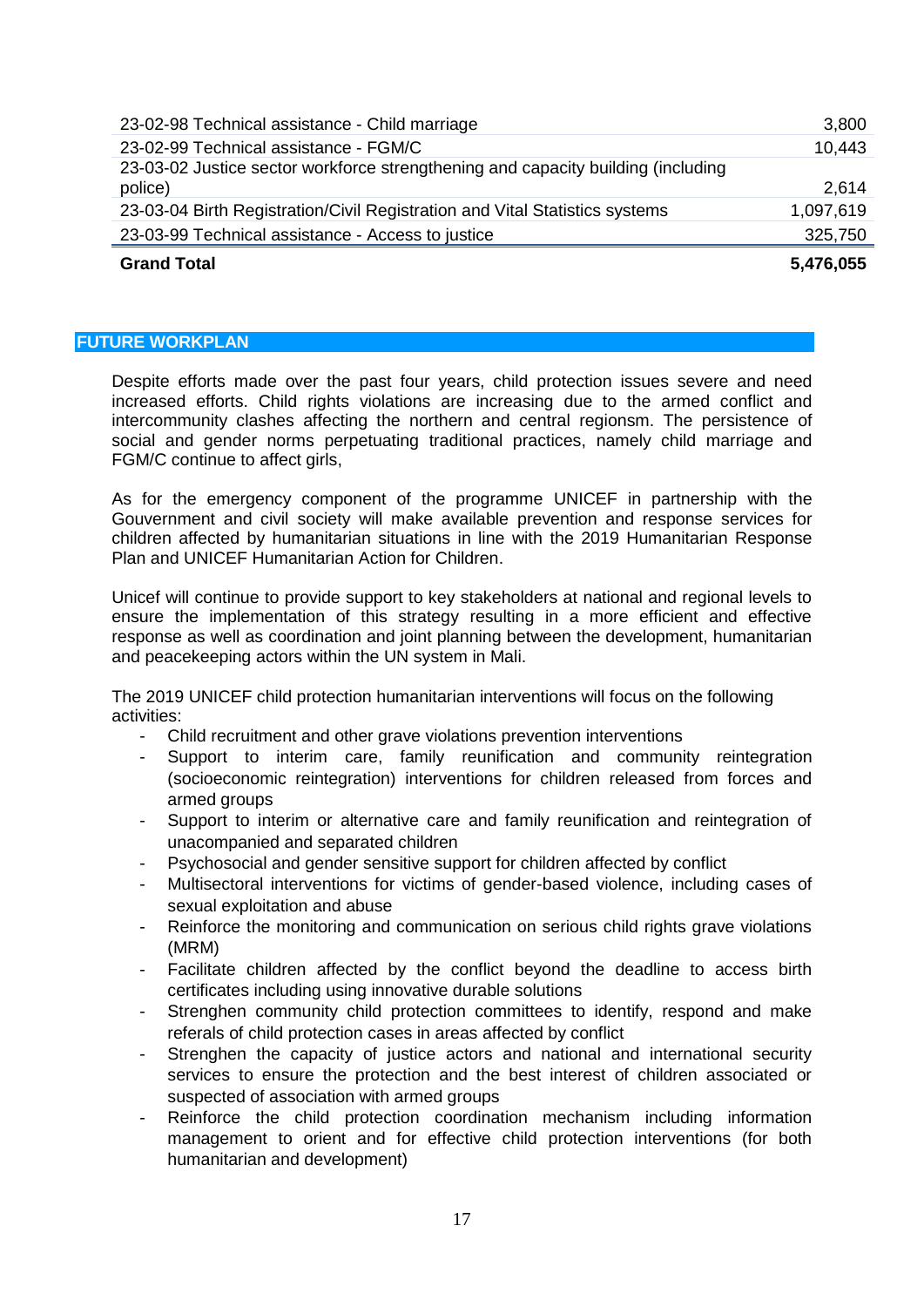| <b>Grand Total</b>                                                                          | 5,476,055 |
|---------------------------------------------------------------------------------------------|-----------|
| 23-03-99 Technical assistance - Access to justice                                           | 325,750   |
| 23-03-04 Birth Registration/Civil Registration and Vital Statistics systems                 | 1,097,619 |
| 23-03-02 Justice sector workforce strengthening and capacity building (including<br>police) | 2,614     |
| 23-02-99 Technical assistance - FGM/C                                                       | 10,443    |
| 23-02-98 Technical assistance - Child marriage                                              | 3,800     |

#### <span id="page-16-0"></span>**FUTURE WORKPLAN**

Despite efforts made over the past four years, child protection issues severe and need increased efforts. Child rights violations are increasing due to the armed conflict and intercommunity clashes affecting the northern and central regionsm. The persistence of social and gender norms perpetuating traditional practices, namely child marriage and FGM/C continue to affect girls,

As for the emergency component of the programme UNICEF in partnership with the Gouvernment and civil society will make available prevention and response services for children affected by humanitarian situations in line with the 2019 Humanitarian Response Plan and UNICEF Humanitarian Action for Children.

Unicef will continue to provide support to key stakeholders at national and regional levels to ensure the implementation of this strategy resulting in a more efficient and effective response as well as coordination and joint planning between the development, humanitarian and peacekeeping actors within the UN system in Mali.

The 2019 UNICEF child protection humanitarian interventions will focus on the following activities:

- Child recruitment and other grave violations prevention interventions
- Support to interim care, family reunification and community reintegration (socioeconomic reintegration) interventions for children released from forces and armed groups
- Support to interim or alternative care and family reunification and reintegration of unacompanied and separated children
- Psychosocial and gender sensitive support for children affected by conflict
- Multisectoral interventions for victims of gender-based violence, including cases of sexual exploitation and abuse
- Reinforce the monitoring and communication on serious child rights grave violations (MRM)
- Facilitate children affected by the conflict beyond the deadline to access birth certificates including using innovative durable solutions
- Strenghen community child protection committees to identify, respond and make referals of child protection cases in areas affected by conflict
- Strenghen the capacity of justice actors and national and international security services to ensure the protection and the best interest of children associated or suspected of association with armed groups
- Reinforce the child protection coordination mechanism including information management to orient and for effective child protection interventions (for both humanitarian and development)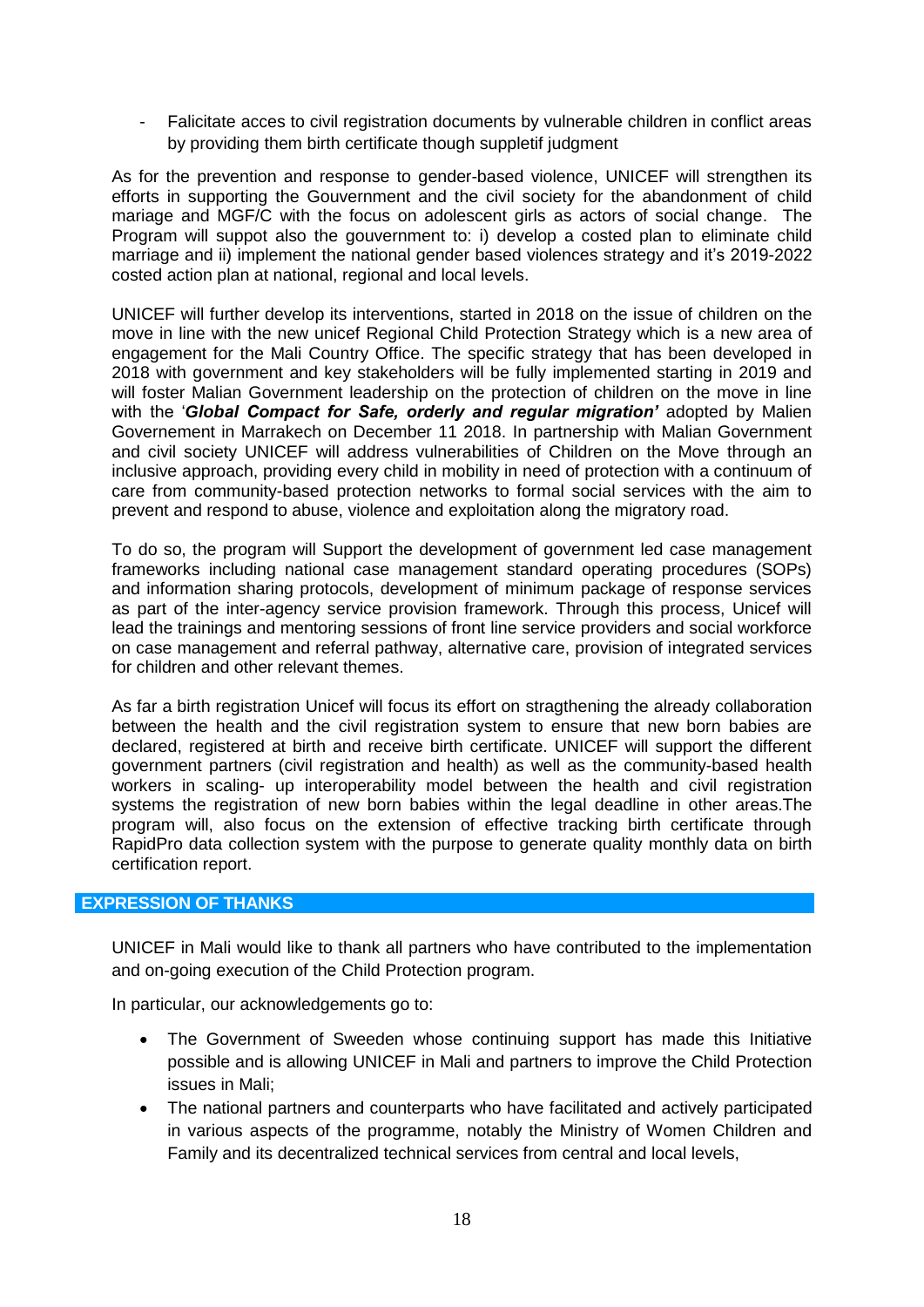Falicitate acces to civil registration documents by vulnerable children in conflict areas by providing them birth certificate though suppletif judgment

As for the prevention and response to gender-based violence, UNICEF will strengthen its efforts in supporting the Gouvernment and the civil society for the abandonment of child mariage and MGF/C with the focus on adolescent girls as actors of social change. The Program will suppot also the gouvernment to: i) develop a costed plan to eliminate child marriage and ii) implement the national gender based violences strategy and it's 2019-2022 costed action plan at national, regional and local levels.

UNICEF will further develop its interventions, started in 2018 on the issue of children on the move in line with the new unicef Regional Child Protection Strategy which is a new area of engagement for the Mali Country Office. The specific strategy that has been developed in 2018 with government and key stakeholders will be fully implemented starting in 2019 and will foster Malian Government leadership on the protection of children on the move in line with the '*Global Compact for Safe, orderly and regular migration'* adopted by Malien Governement in Marrakech on December 11 2018. In partnership with Malian Government and civil society UNICEF will address vulnerabilities of Children on the Move through an inclusive approach, providing every child in mobility in need of protection with a continuum of care from community-based protection networks to formal social services with the aim to prevent and respond to abuse, violence and exploitation along the migratory road.

To do so, the program will Support the development of government led case management frameworks including national case management standard operating procedures (SOPs) and information sharing protocols, development of minimum package of response services as part of the inter-agency service provision framework. Through this process, Unicef will lead the trainings and mentoring sessions of front line service providers and social workforce on case management and referral pathway, alternative care, provision of integrated services for children and other relevant themes.

As far a birth registration Unicef will focus its effort on stragthening the already collaboration between the health and the civil registration system to ensure that new born babies are declared, registered at birth and receive birth certificate. UNICEF will support the different government partners (civil registration and health) as well as the community-based health workers in scaling- up interoperability model between the health and civil registration systems the registration of new born babies within the legal deadline in other areas.The program will, also focus on the extension of effective tracking birth certificate through RapidPro data collection system with the purpose to generate quality monthly data on birth certification report.

## <span id="page-17-0"></span>**EXPRESSION OF THANKS**

UNICEF in Mali would like to thank all partners who have contributed to the implementation and on-going execution of the Child Protection program.

In particular, our acknowledgements go to:

- The Government of Sweeden whose continuing support has made this Initiative possible and is allowing UNICEF in Mali and partners to improve the Child Protection issues in Mali;
- The national partners and counterparts who have facilitated and actively participated in various aspects of the programme, notably the Ministry of Women Children and Family and its decentralized technical services from central and local levels,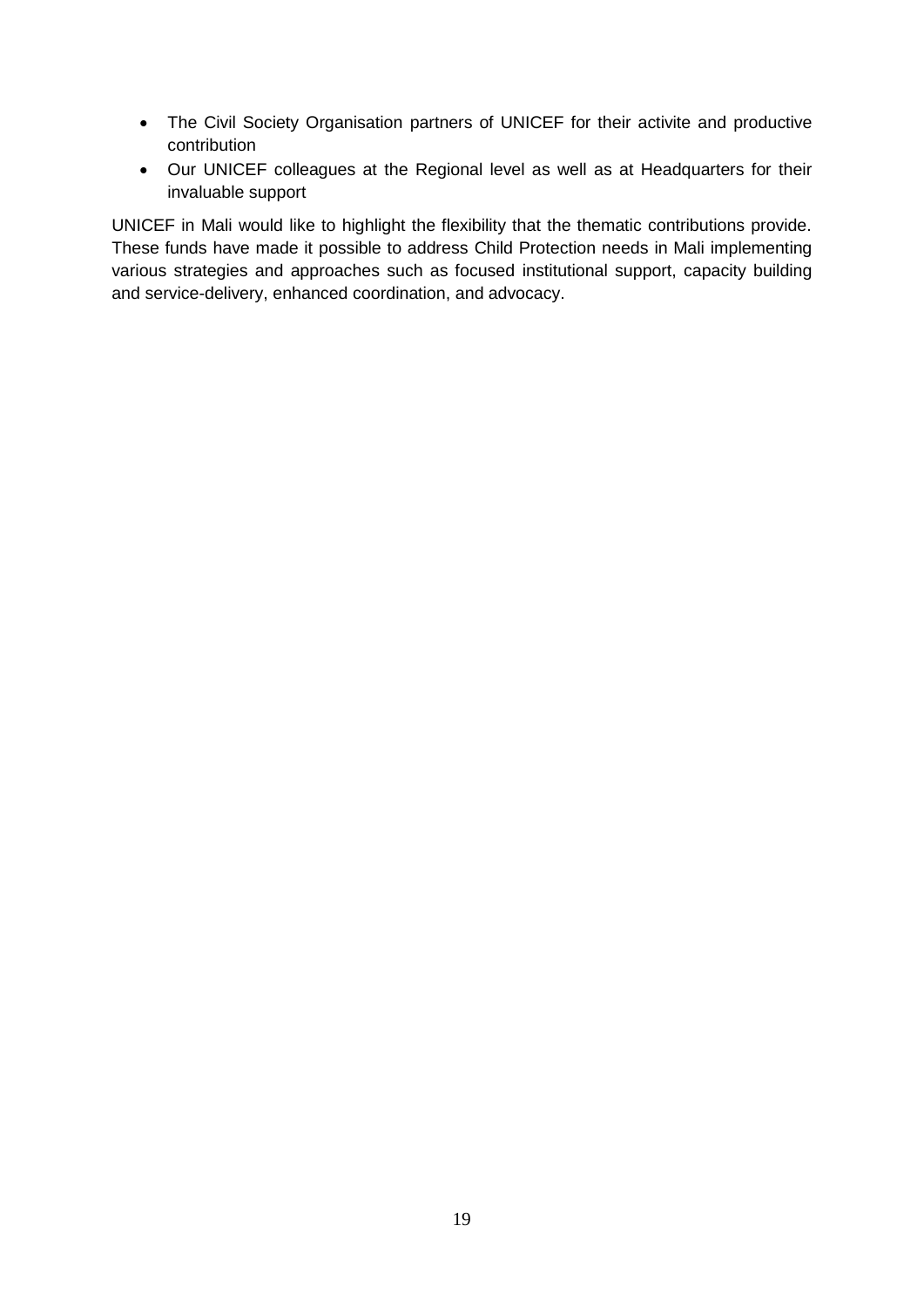- The Civil Society Organisation partners of UNICEF for their activite and productive contribution
- Our UNICEF colleagues at the Regional level as well as at Headquarters for their invaluable support

UNICEF in Mali would like to highlight the flexibility that the thematic contributions provide. These funds have made it possible to address Child Protection needs in Mali implementing various strategies and approaches such as focused institutional support, capacity building and service-delivery, enhanced coordination, and advocacy.